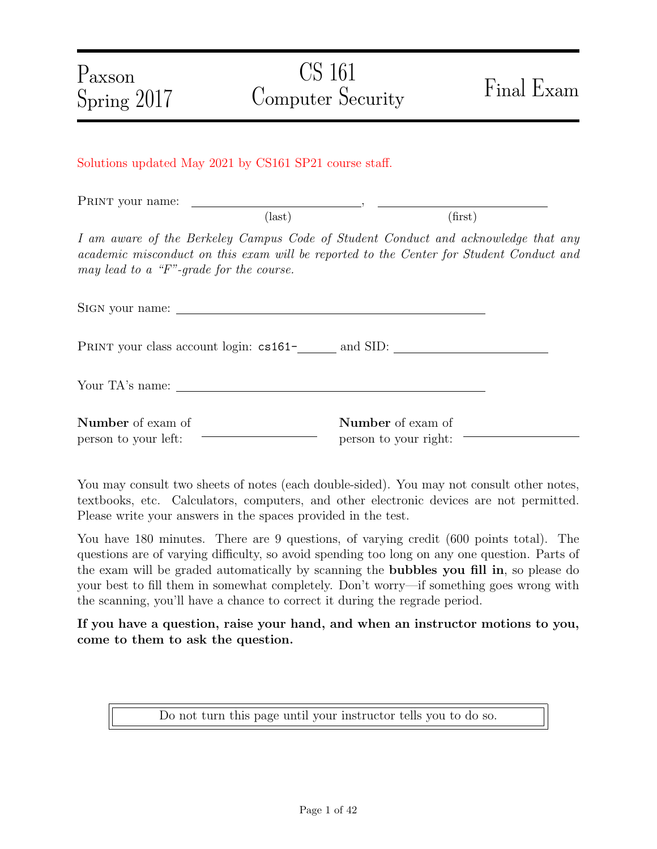Solutions updated May 2021 by CS161 SP21 course staff.

PRINT your name:  $\text{(last)}\tag{first}$ 

I am aware of the Berkeley Campus Code of Student Conduct and acknowledge that any academic misconduct on this exam will be reported to the Center for Student Conduct and may lead to a "F"-grade for the course.

Sign your name: PRINT your class account login:  $cs161$ <sup>-</sup> and SID: Your TA's name: Number of exam of person to your left: Number of exam of person to your right:

You may consult two sheets of notes (each double-sided). You may not consult other notes, textbooks, etc. Calculators, computers, and other electronic devices are not permitted. Please write your answers in the spaces provided in the test.

You have 180 minutes. There are 9 questions, of varying credit (600 points total). The questions are of varying difficulty, so avoid spending too long on any one question. Parts of the exam will be graded automatically by scanning the bubbles you fill in, so please do your best to fill them in somewhat completely. Don't worry—if something goes wrong with the scanning, you'll have a chance to correct it during the regrade period.

If you have a question, raise your hand, and when an instructor motions to you, come to them to ask the question.

Do not turn this page until your instructor tells you to do so.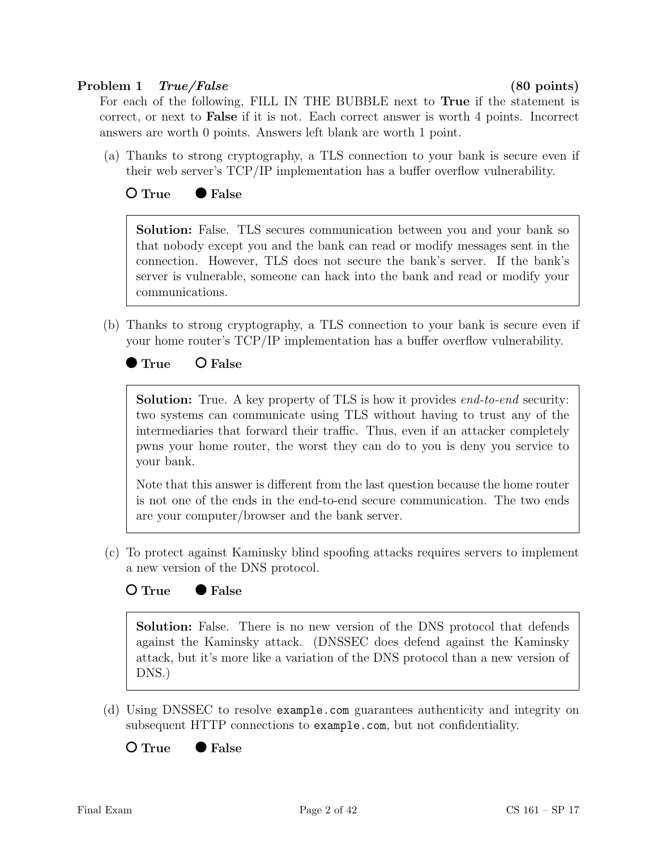### Problem 1 True/False (80 points)

For each of the following, FILL IN THE BUBBLE next to True if the statement is correct, or next to False if it is not. Each correct answer is worth 4 points. Incorrect answers are worth 0 points. Answers left blank are worth 1 point.

(a) Thanks to strong cryptography, a TLS connection to your bank is secure even if their web server's TCP/IP implementation has a buffer overflow vulnerability.

# ○ True ● False

Solution: False. TLS secures communication between you and your bank so that nobody except you and the bank can read or modify messages sent in the connection. However, TLS does not secure the bank's server. If the bank's server is vulnerable, someone can hack into the bank and read or modify your communications.

(b) Thanks to strong cryptography, a TLS connection to your bank is secure even if your home router's TCP/IP implementation has a buffer overflow vulnerability.

 $\bullet$  True  $\bullet$  False

**Solution:** True. A key property of TLS is how it provides *end-to-end* security: two systems can communicate using TLS without having to trust any of the intermediaries that forward their traffic. Thus, even if an attacker completely pwns your home router, the worst they can do to you is deny you service to your bank.

Note that this answer is different from the last question because the home router is not one of the ends in the end-to-end secure communication. The two ends are your computer/browser and the bank server.

(c) To protect against Kaminsky blind spoofing attacks requires servers to implement a new version of the DNS protocol.

#### O True ● False

Solution: False. There is no new version of the DNS protocol that defends against the Kaminsky attack. (DNSSEC does defend against the Kaminsky attack, but it's more like a variation of the DNS protocol than a new version of DNS.)

(d) Using DNSSEC to resolve example.com guarantees authenticity and integrity on subsequent HTTP connections to example.com, but not confidentiality.

 $\bigcirc$  True  $\bigcirc$  False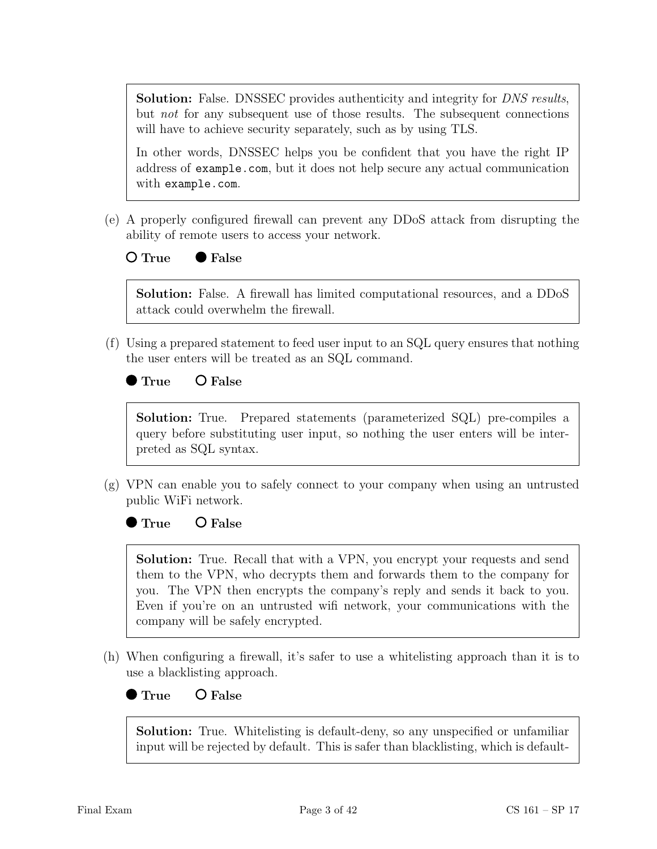**Solution:** False. DNSSEC provides authenticity and integrity for *DNS results*, but not for any subsequent use of those results. The subsequent connections will have to achieve security separately, such as by using TLS.

In other words, DNSSEC helps you be confident that you have the right IP address of example.com, but it does not help secure any actual communication with example.com.

- (e) A properly configured firewall can prevent any DDoS attack from disrupting the ability of remote users to access your network.
	- $O$  True  $\bullet$  False

Solution: False. A firewall has limited computational resources, and a DDoS attack could overwhelm the firewall.

(f) Using a prepared statement to feed user input to an SQL query ensures that nothing the user enters will be treated as an SQL command.

● True ○ False

Solution: True. Prepared statements (parameterized SQL) pre-compiles a query before substituting user input, so nothing the user enters will be interpreted as SQL syntax.

(g) VPN can enable you to safely connect to your company when using an untrusted public WiFi network.

 $\bullet$  True  $\bullet$  C False

Solution: True. Recall that with a VPN, you encrypt your requests and send them to the VPN, who decrypts them and forwards them to the company for you. The VPN then encrypts the company's reply and sends it back to you. Even if you're on an untrusted wifi network, your communications with the company will be safely encrypted.

(h) When configuring a firewall, it's safer to use a whitelisting approach than it is to use a blacklisting approach.

 $\bullet$  True  $\bullet$  False

Solution: True. Whitelisting is default-deny, so any unspecified or unfamiliar input will be rejected by default. This is safer than blacklisting, which is default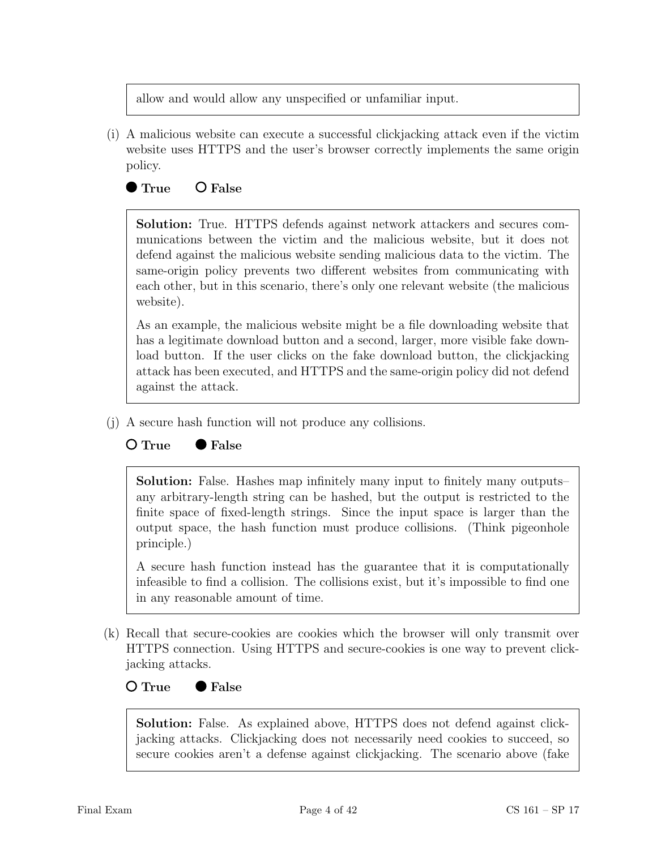allow and would allow any unspecified or unfamiliar input.

(i) A malicious website can execute a successful clickjacking attack even if the victim website uses HTTPS and the user's browser correctly implements the same origin policy.

# $\bullet$  True  $\bullet$  False

Solution: True. HTTPS defends against network attackers and secures communications between the victim and the malicious website, but it does not defend against the malicious website sending malicious data to the victim. The same-origin policy prevents two different websites from communicating with each other, but in this scenario, there's only one relevant website (the malicious website).

As an example, the malicious website might be a file downloading website that has a legitimate download button and a second, larger, more visible fake download button. If the user clicks on the fake download button, the clickjacking attack has been executed, and HTTPS and the same-origin policy did not defend against the attack.

(j) A secure hash function will not produce any collisions.

### $O$  True  $\bullet$  False

Solution: False. Hashes map infinitely many input to finitely many outputs– any arbitrary-length string can be hashed, but the output is restricted to the finite space of fixed-length strings. Since the input space is larger than the output space, the hash function must produce collisions. (Think pigeonhole principle.)

A secure hash function instead has the guarantee that it is computationally infeasible to find a collision. The collisions exist, but it's impossible to find one in any reasonable amount of time.

(k) Recall that secure-cookies are cookies which the browser will only transmit over HTTPS connection. Using HTTPS and secure-cookies is one way to prevent clickjacking attacks.

#### $O$  True  $\bullet$  False

Solution: False. As explained above, HTTPS does not defend against clickjacking attacks. Clickjacking does not necessarily need cookies to succeed, so secure cookies aren't a defense against clickjacking. The scenario above (fake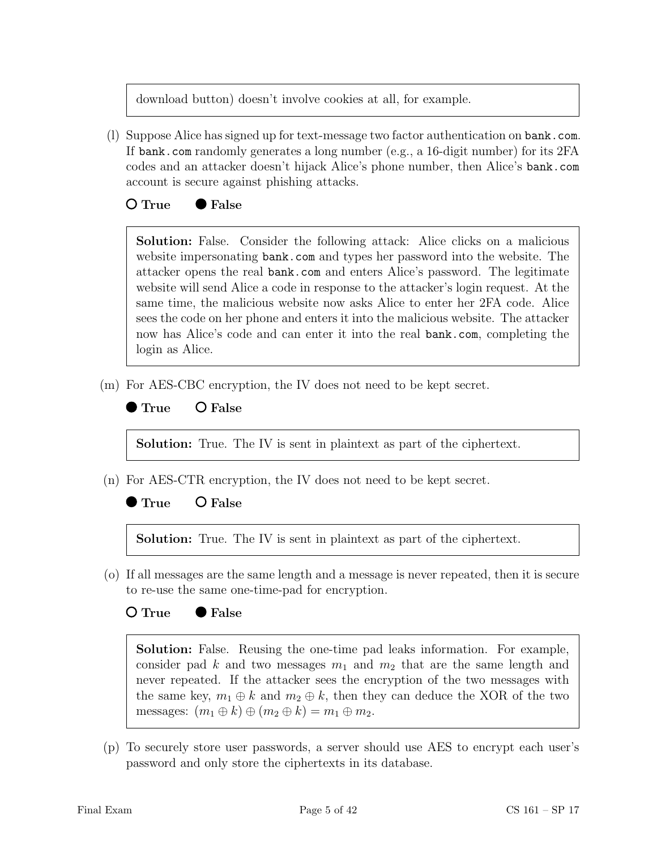download button) doesn't involve cookies at all, for example.

(l) Suppose Alice has signed up for text-message two factor authentication on bank.com. If bank.com randomly generates a long number (e.g., a 16-digit number) for its 2FA codes and an attacker doesn't hijack Alice's phone number, then Alice's bank.com account is secure against phishing attacks.

### $O$  True  $\bullet$  False

Solution: False. Consider the following attack: Alice clicks on a malicious website impersonating bank.com and types her password into the website. The attacker opens the real bank.com and enters Alice's password. The legitimate website will send Alice a code in response to the attacker's login request. At the same time, the malicious website now asks Alice to enter her 2FA code. Alice sees the code on her phone and enters it into the malicious website. The attacker now has Alice's code and can enter it into the real bank.com, completing the login as Alice.

(m) For AES-CBC encryption, the IV does not need to be kept secret.

### $\bullet$  True  $\bullet$  False

Solution: True. The IV is sent in plaintext as part of the ciphertext.

(n) For AES-CTR encryption, the IV does not need to be kept secret.

### $True$   $Q$  False

Solution: True. The IV is sent in plaintext as part of the ciphertext.

(o) If all messages are the same length and a message is never repeated, then it is secure to re-use the same one-time-pad for encryption.

#### $O$  True  $\bullet$  False

Solution: False. Reusing the one-time pad leaks information. For example, consider pad k and two messages  $m_1$  and  $m_2$  that are the same length and never repeated. If the attacker sees the encryption of the two messages with the same key,  $m_1 \oplus k$  and  $m_2 \oplus k$ , then they can deduce the XOR of the two messages:  $(m_1 \oplus k) \oplus (m_2 \oplus k) = m_1 \oplus m_2$ .

(p) To securely store user passwords, a server should use AES to encrypt each user's password and only store the ciphertexts in its database.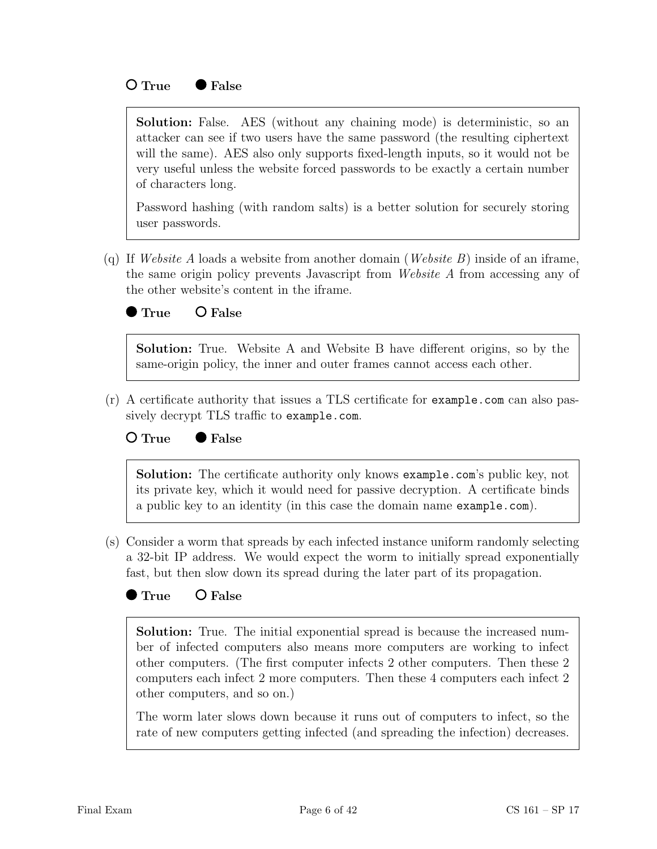#### $O$  True  $\bullet$  False

Solution: False. AES (without any chaining mode) is deterministic, so an attacker can see if two users have the same password (the resulting ciphertext will the same). AES also only supports fixed-length inputs, so it would not be very useful unless the website forced passwords to be exactly a certain number of characters long.

Password hashing (with random salts) is a better solution for securely storing user passwords.

(q) If Website A loads a website from another domain (Website B) inside of an iframe, the same origin policy prevents Javascript from Website A from accessing any of the other website's content in the iframe.



Solution: True. Website A and Website B have different origins, so by the same-origin policy, the inner and outer frames cannot access each other.

(r) A certificate authority that issues a TLS certificate for example.com can also passively decrypt TLS traffic to example.com.

#### $O$  True  $\bullet$  False

Solution: The certificate authority only knows example.com's public key, not its private key, which it would need for passive decryption. A certificate binds a public key to an identity (in this case the domain name example.com).

- (s) Consider a worm that spreads by each infected instance uniform randomly selecting a 32-bit IP address. We would expect the worm to initially spread exponentially fast, but then slow down its spread during the later part of its propagation.
	- True O False

Solution: True. The initial exponential spread is because the increased number of infected computers also means more computers are working to infect other computers. (The first computer infects 2 other computers. Then these 2 computers each infect 2 more computers. Then these 4 computers each infect 2 other computers, and so on.)

The worm later slows down because it runs out of computers to infect, so the rate of new computers getting infected (and spreading the infection) decreases.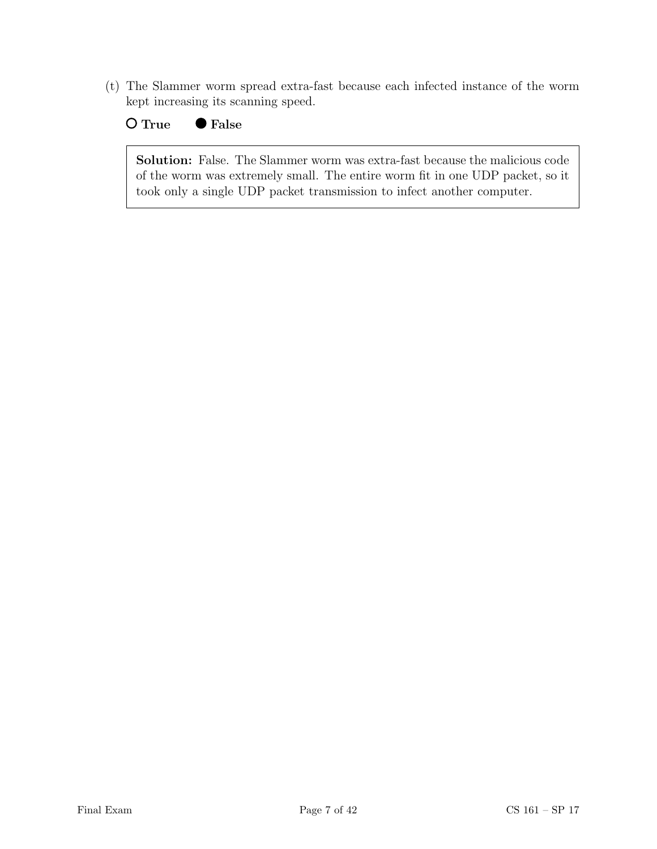(t) The Slammer worm spread extra-fast because each infected instance of the worm kept increasing its scanning speed.

O True ● False

Solution: False. The Slammer worm was extra-fast because the malicious code of the worm was extremely small. The entire worm fit in one UDP packet, so it took only a single UDP packet transmission to infect another computer.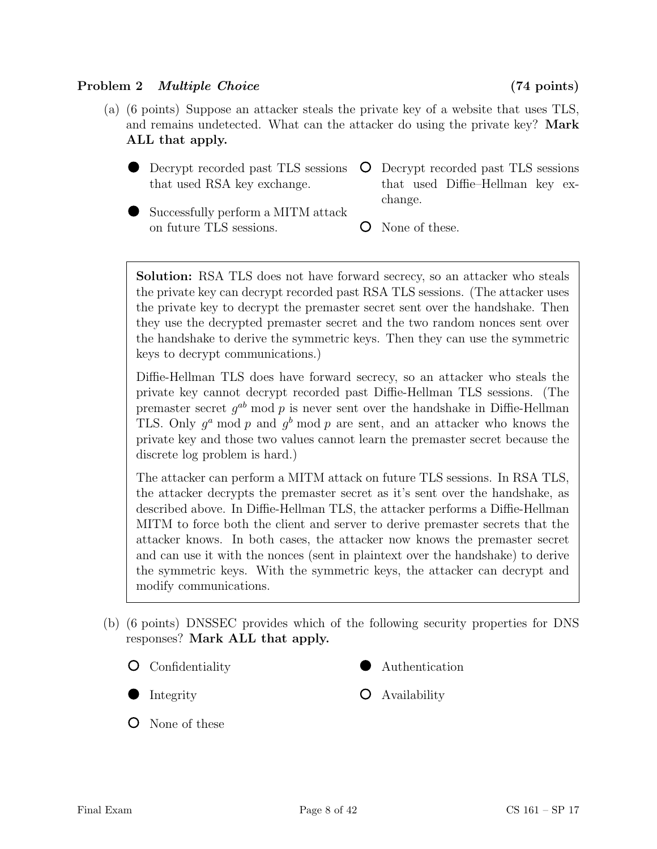# Problem 2 *Multiple Choice* (74 points)

- (a) (6 points) Suppose an attacker steals the private key of a website that uses TLS, and remains undetected. What can the attacker do using the private key? Mark ALL that apply.
	- Decrypt recorded past TLS sessions that used RSA key exchange.
- Decrypt recorded past TLS sessions that used Diffie–Hellman key exchange.
- Successfully perform a MITM attack on future TLS sessions.
- None of these.

Solution: RSA TLS does not have forward secrecy, so an attacker who steals the private key can decrypt recorded past RSA TLS sessions. (The attacker uses the private key to decrypt the premaster secret sent over the handshake. Then they use the decrypted premaster secret and the two random nonces sent over the handshake to derive the symmetric keys. Then they can use the symmetric keys to decrypt communications.)

Diffie-Hellman TLS does have forward secrecy, so an attacker who steals the private key cannot decrypt recorded past Diffie-Hellman TLS sessions. (The premaster secret  $g^{ab}$  mod p is never sent over the handshake in Diffie-Hellman TLS. Only  $g^a$  mod p and  $g^b$  mod p are sent, and an attacker who knows the private key and those two values cannot learn the premaster secret because the discrete log problem is hard.)

The attacker can perform a MITM attack on future TLS sessions. In RSA TLS, the attacker decrypts the premaster secret as it's sent over the handshake, as described above. In Diffie-Hellman TLS, the attacker performs a Diffie-Hellman MITM to force both the client and server to derive premaster secrets that the attacker knows. In both cases, the attacker now knows the premaster secret and can use it with the nonces (sent in plaintext over the handshake) to derive the symmetric keys. With the symmetric keys, the attacker can decrypt and modify communications.

- (b) (6 points) DNSSEC provides which of the following security properties for DNS responses? Mark ALL that apply.
	- Confidentiality

Integrity

None of these

- Authentication
- Availability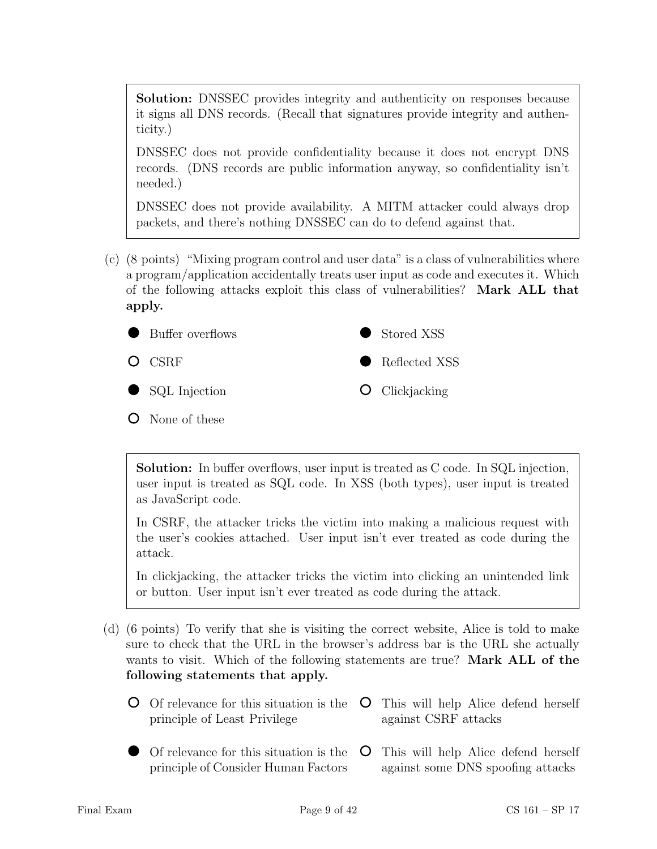Solution: DNSSEC provides integrity and authenticity on responses because it signs all DNS records. (Recall that signatures provide integrity and authenticity.)

DNSSEC does not provide confidentiality because it does not encrypt DNS records. (DNS records are public information anyway, so confidentiality isn't needed.)

DNSSEC does not provide availability. A MITM attacker could always drop packets, and there's nothing DNSSEC can do to defend against that.

(c) (8 points) "Mixing program control and user data" is a class of vulnerabilities where a program/application accidentally treats user input as code and executes it. Which of the following attacks exploit this class of vulnerabilities? Mark ALL that apply.



None of these

Solution: In buffer overflows, user input is treated as C code. In SQL injection, user input is treated as SQL code. In XSS (both types), user input is treated as JavaScript code.

In CSRF, the attacker tricks the victim into making a malicious request with the user's cookies attached. User input isn't ever treated as code during the attack.

In clickjacking, the attacker tricks the victim into clicking an unintended link or button. User input isn't ever treated as code during the attack.

- (d) (6 points) To verify that she is visiting the correct website, Alice is told to make sure to check that the URL in the browser's address bar is the URL she actually wants to visit. Which of the following statements are true? Mark ALL of the following statements that apply.
	- Of relevance for this situation is the principle of Least Privilege This will help Alice defend herself against CSRF attacks
	- Of relevance for this situation is the principle of Consider Human Factors This will help Alice defend herself against some DNS spoofing attacks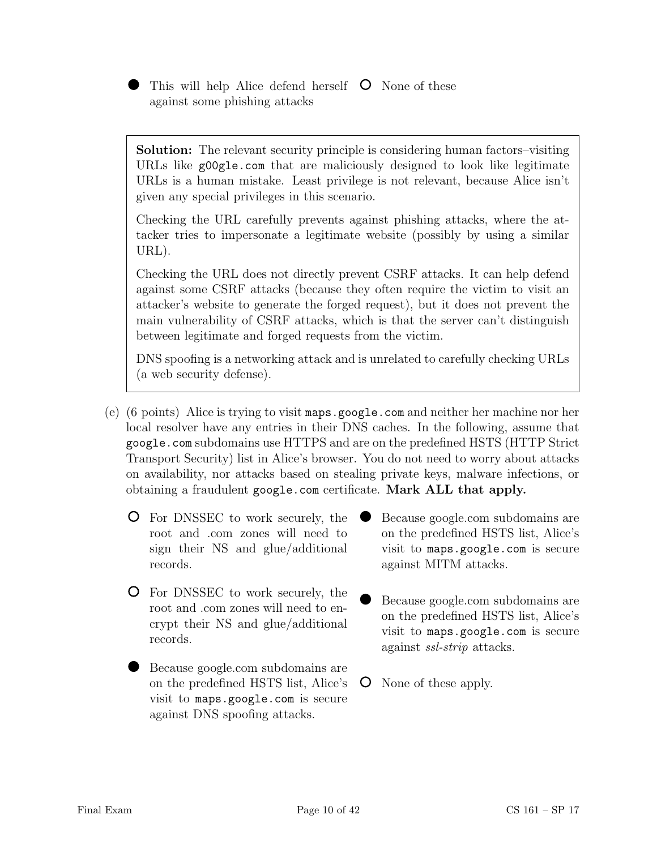This will help Alice defend herself  $\circ$  None of these against some phishing attacks

Solution: The relevant security principle is considering human factors–visiting URLs like g00gle.com that are maliciously designed to look like legitimate URLs is a human mistake. Least privilege is not relevant, because Alice isn't given any special privileges in this scenario.

Checking the URL carefully prevents against phishing attacks, where the attacker tries to impersonate a legitimate website (possibly by using a similar URL).

Checking the URL does not directly prevent CSRF attacks. It can help defend against some CSRF attacks (because they often require the victim to visit an attacker's website to generate the forged request), but it does not prevent the main vulnerability of CSRF attacks, which is that the server can't distinguish between legitimate and forged requests from the victim.

DNS spoofing is a networking attack and is unrelated to carefully checking URLs (a web security defense).

- (e) (6 points) Alice is trying to visit maps.google.com and neither her machine nor her local resolver have any entries in their DNS caches. In the following, assume that google.com subdomains use HTTPS and are on the predefined HSTS (HTTP Strict Transport Security) list in Alice's browser. You do not need to worry about attacks on availability, nor attacks based on stealing private keys, malware infections, or obtaining a fraudulent google.com certificate. Mark ALL that apply.
	- For DNSSEC to work securely, the root and .com zones will need to sign their NS and glue/additional records.
	- For DNSSEC to work securely, the root and .com zones will need to encrypt their NS and glue/additional records.
	- Because google.com subdomains are on the predefined HSTS list, Alice's visit to maps.google.com is secure against DNS spoofing attacks.
- Because google.com subdomains are on the predefined HSTS list, Alice's visit to maps.google.com is secure against MITM attacks.
- Because google.com subdomains are on the predefined HSTS list, Alice's visit to maps.google.com is secure against ssl-strip attacks.
- None of these apply.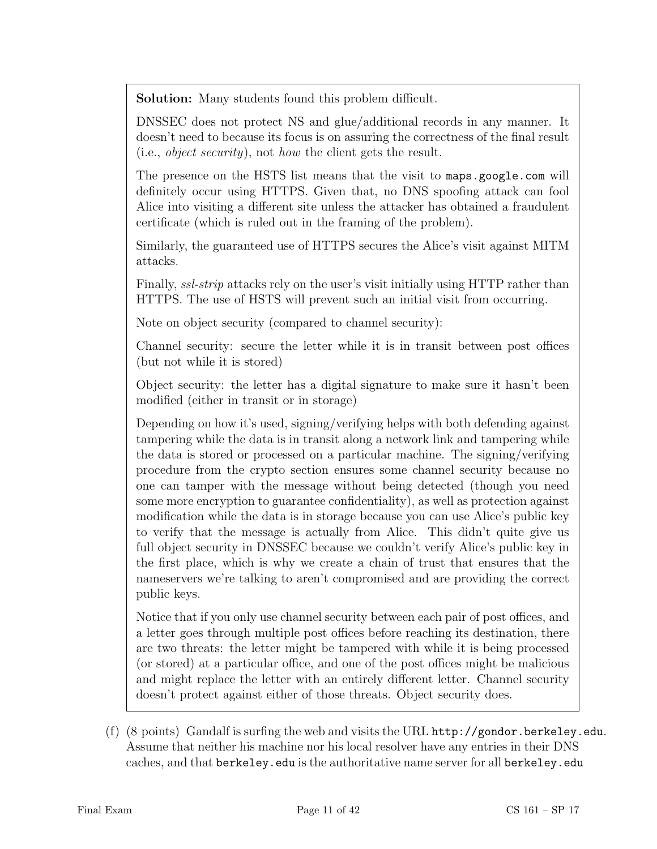Solution: Many students found this problem difficult.

DNSSEC does not protect NS and glue/additional records in any manner. It doesn't need to because its focus is on assuring the correctness of the final result (i.e., object security), not how the client gets the result.

The presence on the HSTS list means that the visit to maps.google.com will definitely occur using HTTPS. Given that, no DNS spoofing attack can fool Alice into visiting a different site unless the attacker has obtained a fraudulent certificate (which is ruled out in the framing of the problem).

Similarly, the guaranteed use of HTTPS secures the Alice's visit against MITM attacks.

Finally, ssl-strip attacks rely on the user's visit initially using HTTP rather than HTTPS. The use of HSTS will prevent such an initial visit from occurring.

Note on object security (compared to channel security):

Channel security: secure the letter while it is in transit between post offices (but not while it is stored)

Object security: the letter has a digital signature to make sure it hasn't been modified (either in transit or in storage)

Depending on how it's used, signing/verifying helps with both defending against tampering while the data is in transit along a network link and tampering while the data is stored or processed on a particular machine. The signing/verifying procedure from the crypto section ensures some channel security because no one can tamper with the message without being detected (though you need some more encryption to guarantee confidentiality), as well as protection against modification while the data is in storage because you can use Alice's public key to verify that the message is actually from Alice. This didn't quite give us full object security in DNSSEC because we couldn't verify Alice's public key in the first place, which is why we create a chain of trust that ensures that the nameservers we're talking to aren't compromised and are providing the correct public keys.

Notice that if you only use channel security between each pair of post offices, and a letter goes through multiple post offices before reaching its destination, there are two threats: the letter might be tampered with while it is being processed (or stored) at a particular office, and one of the post offices might be malicious and might replace the letter with an entirely different letter. Channel security doesn't protect against either of those threats. Object security does.

(f) (8 points) Gandalf is surfing the web and visits the URL http://gondor.berkeley.edu. Assume that neither his machine nor his local resolver have any entries in their DNS caches, and that berkeley.edu is the authoritative name server for all berkeley.edu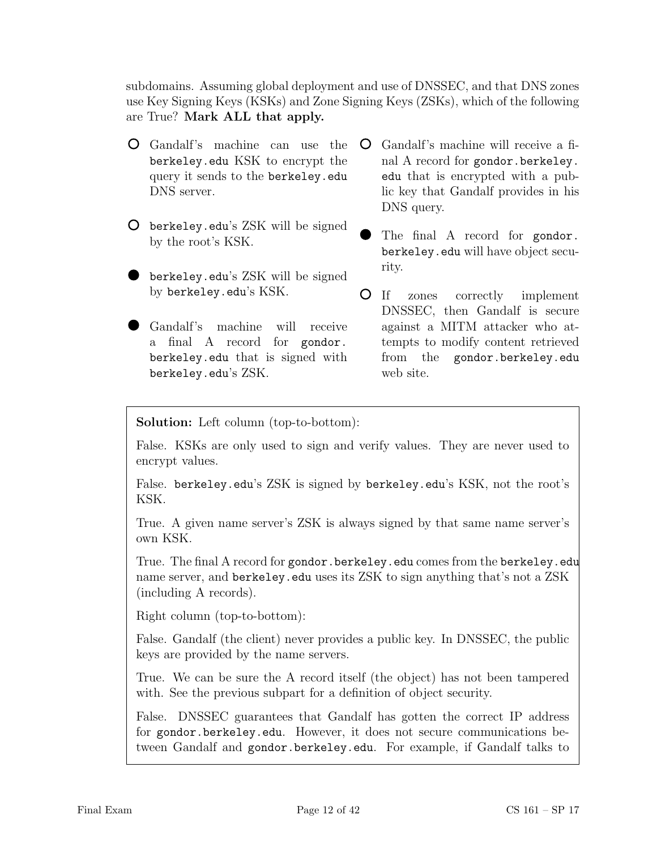subdomains. Assuming global deployment and use of DNSSEC, and that DNS zones use Key Signing Keys (KSKs) and Zone Signing Keys (ZSKs), which of the following are True? Mark ALL that apply.

- Gandalf's machine can use the berkeley.edu KSK to encrypt the query it sends to the berkeley.edu DNS server.
- berkeley.edu's ZSK will be signed by the root's KSK.
- berkeley.edu's ZSK will be signed by berkeley.edu's KSK.
- Gandalf's machine will receive a final A record for gondor. berkeley.edu that is signed with berkeley.edu's ZSK.
- Gandalf's machine will receive a final A record for gondor.berkeley. edu that is encrypted with a public key that Gandalf provides in his DNS query.
- The final A record for gondor. berkeley.edu will have object security.
- If zones correctly implement DNSSEC, then Gandalf is secure against a MITM attacker who attempts to modify content retrieved from the gondor.berkeley.edu web site.

Solution: Left column (top-to-bottom):

False. KSKs are only used to sign and verify values. They are never used to encrypt values.

False. berkeley.edu's ZSK is signed by berkeley.edu's KSK, not the root's KSK.

True. A given name server's ZSK is always signed by that same name server's own KSK.

True. The final A record for gondor.berkeley.edu comes from the berkeley.edu name server, and berkeley.edu uses its ZSK to sign anything that's not a ZSK (including A records).

Right column (top-to-bottom):

False. Gandalf (the client) never provides a public key. In DNSSEC, the public keys are provided by the name servers.

True. We can be sure the A record itself (the object) has not been tampered with. See the previous subpart for a definition of object security.

False. DNSSEC guarantees that Gandalf has gotten the correct IP address for gondor.berkeley.edu. However, it does not secure communications between Gandalf and gondor.berkeley.edu. For example, if Gandalf talks to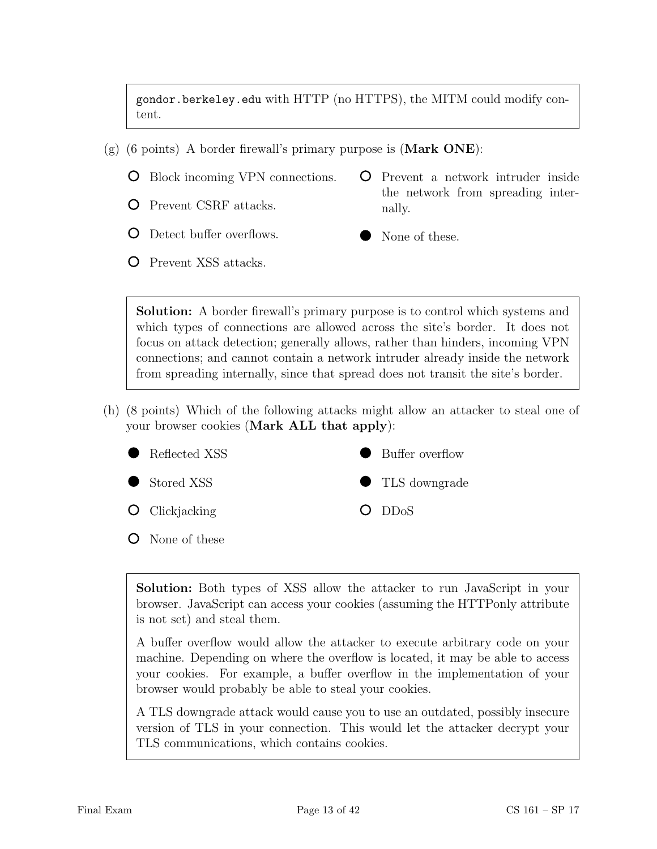gondor.berkeley.edu with HTTP (no HTTPS), the MITM could modify content.

- $(g)$  (6 points) A border firewall's primary purpose is (**Mark ONE**):
	- Block incoming VPN connections.
	- Prevent CSRF attacks.
- Prevent a network intruder inside the network from spreading internally.

None of these.

- Detect buffer overflows.
- Prevent XSS attacks.

Solution: A border firewall's primary purpose is to control which systems and which types of connections are allowed across the site's border. It does not focus on attack detection; generally allows, rather than hinders, incoming VPN connections; and cannot contain a network intruder already inside the network from spreading internally, since that spread does not transit the site's border.

(h) (8 points) Which of the following attacks might allow an attacker to steal one of your browser cookies (Mark ALL that apply):



Solution: Both types of XSS allow the attacker to run JavaScript in your browser. JavaScript can access your cookies (assuming the HTTPonly attribute is not set) and steal them.

A buffer overflow would allow the attacker to execute arbitrary code on your machine. Depending on where the overflow is located, it may be able to access your cookies. For example, a buffer overflow in the implementation of your browser would probably be able to steal your cookies.

A TLS downgrade attack would cause you to use an outdated, possibly insecure version of TLS in your connection. This would let the attacker decrypt your TLS communications, which contains cookies.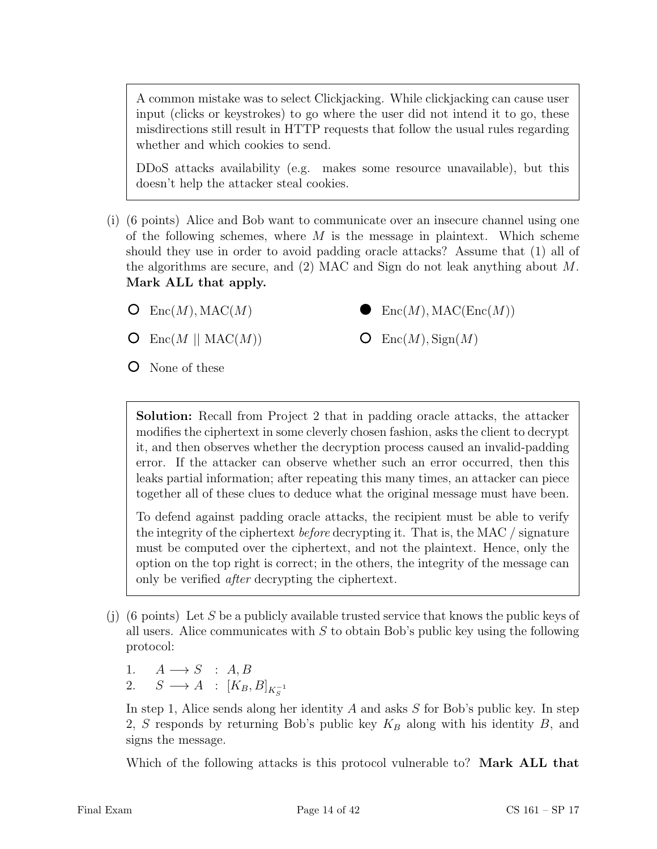A common mistake was to select Clickjacking. While clickjacking can cause user input (clicks or keystrokes) to go where the user did not intend it to go, these misdirections still result in HTTP requests that follow the usual rules regarding whether and which cookies to send.

DDoS attacks availability (e.g. makes some resource unavailable), but this doesn't help the attacker steal cookies.

- (i) (6 points) Alice and Bob want to communicate over an insecure channel using one of the following schemes, where  $M$  is the message in plaintext. Which scheme should they use in order to avoid padding oracle attacks? Assume that (1) all of the algorithms are secure, and (2) MAC and Sign do not leak anything about M. Mark ALL that apply.
	- $O$  Enc $(M)$ , MAC $(M)$

 $Enc(M), MAC(Enc(M))$ 

 $Enc(M), Sign(M)$ 

- $Enc(M || MAC(M))$  $\circ$
- None of these

Solution: Recall from Project 2 that in padding oracle attacks, the attacker modifies the ciphertext in some cleverly chosen fashion, asks the client to decrypt it, and then observes whether the decryption process caused an invalid-padding error. If the attacker can observe whether such an error occurred, then this leaks partial information; after repeating this many times, an attacker can piece together all of these clues to deduce what the original message must have been.

 $\cup$ 

To defend against padding oracle attacks, the recipient must be able to verify the integrity of the ciphertext before decrypting it. That is, the MAC / signature must be computed over the ciphertext, and not the plaintext. Hence, only the option on the top right is correct; in the others, the integrity of the message can only be verified after decrypting the ciphertext.

- (i) (6 points) Let S be a publicly available trusted service that knows the public keys of all users. Alice communicates with  $S$  to obtain Bob's public key using the following protocol:
	- 1.  $A \longrightarrow S$  :  $A, B$
	- 2.  $S \longrightarrow A : [K_B, B]_{K_S^{-1}}$

In step 1, Alice sends along her identity A and asks S for Bob's public key. In step 2, S responds by returning Bob's public key  $K_B$  along with his identity B, and signs the message.

Which of the following attacks is this protocol vulnerable to? **Mark ALL that**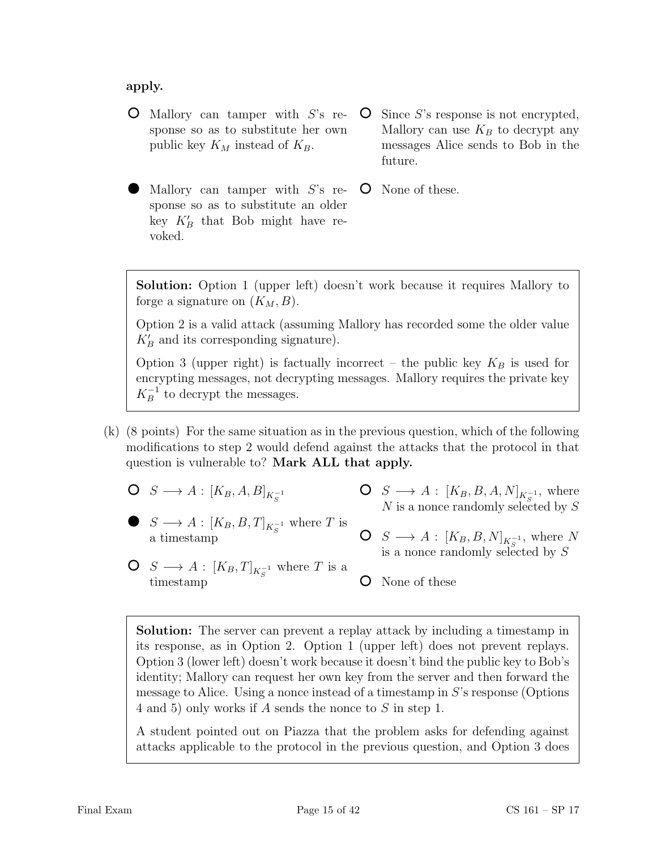apply.

- $\bullet$  Mallory can tamper with  $S$ 's response so as to substitute her own public key  $K_M$  instead of  $K_B$ .
- Since S's response is not encrypted,  $\mathbf{O}$ Mallory can use  $K_B$  to decrypt any messages Alice sends to Bob in the future.
- Mallory can tamper with S's re- $\circ$ None of these. sponse so as to substitute an older key  $K'_B$  that Bob might have revoked.

Solution: Option 1 (upper left) doesn't work because it requires Mallory to forge a signature on  $(K_M, B)$ .

Option 2 is a valid attack (assuming Mallory has recorded some the older value  $K_B'$  and its corresponding signature).

Option 3 (upper right) is factually incorrect – the public key  $K_B$  is used for encrypting messages, not decrypting messages. Mallory requires the private key  $K_B^{-1}$  to decrypt the messages.

- (k) (8 points) For the same situation as in the previous question, which of the following modifications to step 2 would defend against the attacks that the protocol in that question is vulnerable to? Mark ALL that apply.
	- $S \longrightarrow A : [K_B, A, B]_{K_S^{-1}}$

a timestamp

- $S \longrightarrow A : [K_B, B, A, N]_{K_S^{-1}}$ , where  $N$  is a nonce randomly selected by  $S$
- $S \longrightarrow A : [K_B, B, T]_{K_S^{-1}}$  where T is  $S \longrightarrow A : [K_B, B, N]_{K_S^{-1}}$ , where N is a nonce randomly selected by  $S$
- $S \longrightarrow A : [K_B, T]_{K_S^{-1}}$  where T is a timestamp O None of these

Solution: The server can prevent a replay attack by including a timestamp in its response, as in Option 2. Option 1 (upper left) does not prevent replays. Option 3 (lower left) doesn't work because it doesn't bind the public key to Bob's identity; Mallory can request her own key from the server and then forward the message to Alice. Using a nonce instead of a timestamp in S's response (Options 4 and 5) only works if A sends the nonce to S in step 1.

A student pointed out on Piazza that the problem asks for defending against attacks applicable to the protocol in the previous question, and Option 3 does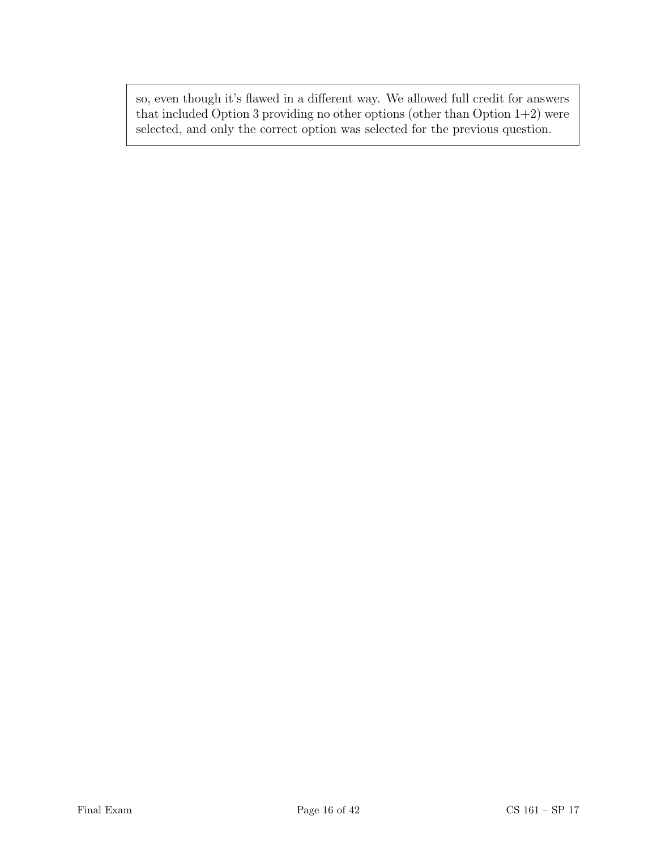so, even though it's flawed in a different way. We allowed full credit for answers that included Option 3 providing no other options (other than Option  $1+2$ ) were selected, and only the correct option was selected for the previous question.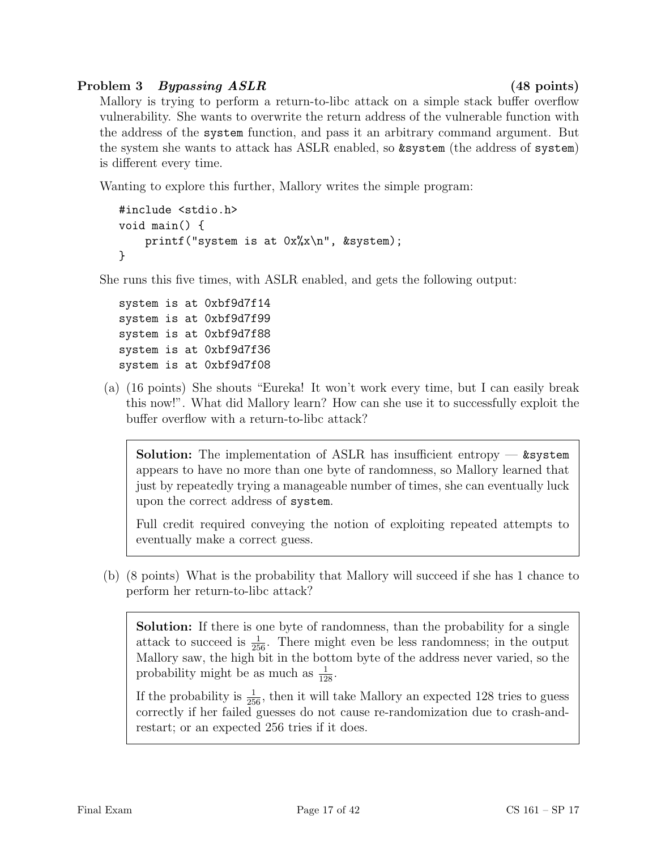# Problem 3 Bypassing ASLR (48 points)

Mallory is trying to perform a return-to-libc attack on a simple stack buffer overflow vulnerability. She wants to overwrite the return address of the vulnerable function with the address of the system function, and pass it an arbitrary command argument. But the system she wants to attack has ASLR enabled, so &system (the address of system) is different every time.

Wanting to explore this further, Mallory writes the simple program:

```
#include <stdio.h>
void main() {
    printf("system is at 0x%x\n", &system);
}
```
She runs this five times, with ASLR enabled, and gets the following output:

system is at 0xbf9d7f14 system is at 0xbf9d7f99 system is at 0xbf9d7f88 system is at 0xbf9d7f36 system is at 0xbf9d7f08

(a) (16 points) She shouts "Eureka! It won't work every time, but I can easily break this now!". What did Mallory learn? How can she use it to successfully exploit the buffer overflow with a return-to-libc attack?

**Solution:** The implementation of ASLR has insufficient entropy  $\sim$  **&system** appears to have no more than one byte of randomness, so Mallory learned that just by repeatedly trying a manageable number of times, she can eventually luck upon the correct address of system.

Full credit required conveying the notion of exploiting repeated attempts to eventually make a correct guess.

(b) (8 points) What is the probability that Mallory will succeed if she has 1 chance to perform her return-to-libc attack?

Solution: If there is one byte of randomness, than the probability for a single attack to succeed is  $\frac{1}{256}$ . There might even be less randomness; in the output Mallory saw, the high bit in the bottom byte of the address never varied, so the probability might be as much as  $\frac{1}{128}$ .

If the probability is  $\frac{1}{256}$ , then it will take Mallory an expected 128 tries to guess correctly if her failed guesses do not cause re-randomization due to crash-andrestart; or an expected 256 tries if it does.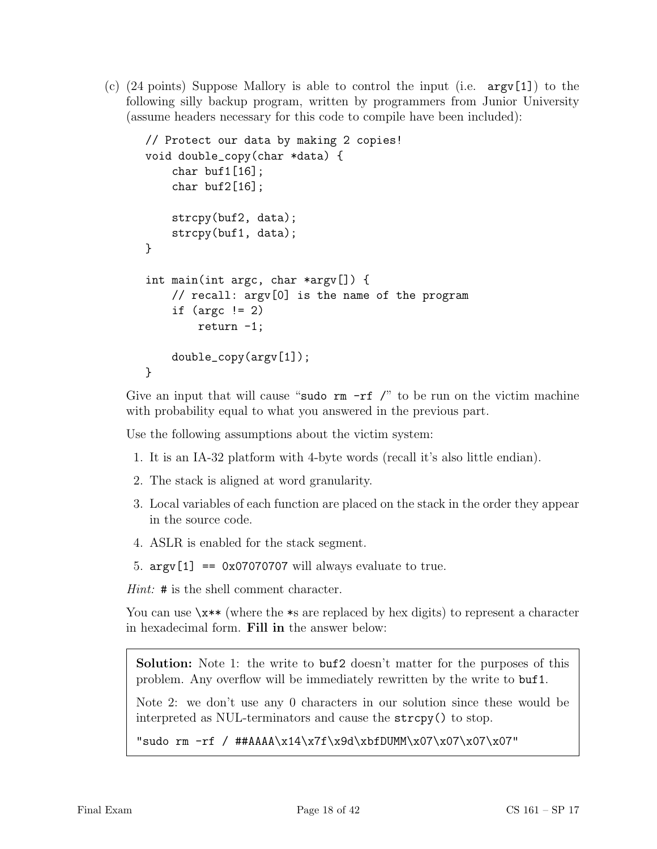(c)  $(24 \text{ points})$  Suppose Mallory is able to control the input (i.e.  $\arg(\1)$ ) to the following silly backup program, written by programmers from Junior University (assume headers necessary for this code to compile have been included):

```
// Protect our data by making 2 copies!
void double_copy(char *data) {
    char buf1[16];
    char buf2[16];
    strcpy(buf2, data);
    strcpy(buf1, data);
}
int main(int argc, char *argv[]) {
    // recall: argv[0] is the name of the program
    if (\text{argc} != 2)return -1;
    double_copy(argv[1]);
}
```
Give an input that will cause "sudo  $rm -rf$  /" to be run on the victim machine with probability equal to what you answered in the previous part.

Use the following assumptions about the victim system:

- 1. It is an IA-32 platform with 4-byte words (recall it's also little endian).
- 2. The stack is aligned at word granularity.
- 3. Local variables of each function are placed on the stack in the order they appear in the source code.
- 4. ASLR is enabled for the stack segment.
- 5.  $argv[1] == 0x07070707$  will always evaluate to true.

*Hint*:  $\#$  is the shell comment character.

You can use  $\xleftrightarrow^*$  (where the  $\ast$ s are replaced by hex digits) to represent a character in hexadecimal form. Fill in the answer below:

Solution: Note 1: the write to buf2 doesn't matter for the purposes of this problem. Any overflow will be immediately rewritten by the write to buf1.

Note 2: we don't use any 0 characters in our solution since these would be interpreted as NUL-terminators and cause the strcpy() to stop.

"sudo rm -rf / ##AAAA\x14\x7f\x9d\xbfDUMM\x07\x07\x07\x07"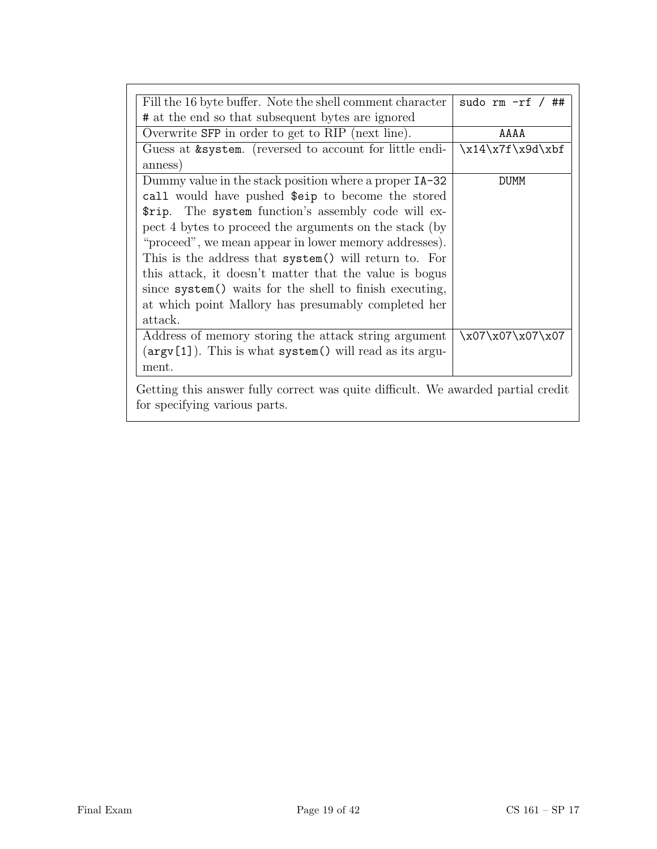| Fill the 16 byte buffer. Note the shell comment character                                                                                                                                                                                                                                                                                                                                                                                                                   | sudo rm $-rf / ##$ |
|-----------------------------------------------------------------------------------------------------------------------------------------------------------------------------------------------------------------------------------------------------------------------------------------------------------------------------------------------------------------------------------------------------------------------------------------------------------------------------|--------------------|
| # at the end so that subsequent bytes are ignored                                                                                                                                                                                                                                                                                                                                                                                                                           |                    |
| Overwrite SFP in order to get to RIP (next line).                                                                                                                                                                                                                                                                                                                                                                                                                           | AAAA               |
| Guess at & system. (reversed to account for little endi-<br>anness)                                                                                                                                                                                                                                                                                                                                                                                                         | $x14\x7f\x9d\xbf$  |
| Dummy value in the stack position where a proper IA-32                                                                                                                                                                                                                                                                                                                                                                                                                      | <b>DUMM</b>        |
| call would have pushed \$eip to become the stored<br>\$rip. The system function's assembly code will ex-<br>pect 4 bytes to proceed the arguments on the stack (by<br>"proceed", we mean appear in lower memory addresses).<br>This is the address that system() will return to. For<br>this attack, it doesn't matter that the value is bogus<br>since system() waits for the shell to finish executing,<br>at which point Mallory has presumably completed her<br>attack. |                    |
| Address of memory storing the attack string argument<br>$(\arg v[1])$ . This is what system() will read as its argu-<br>ment.                                                                                                                                                                                                                                                                                                                                               | \x07\x07\x07\x07   |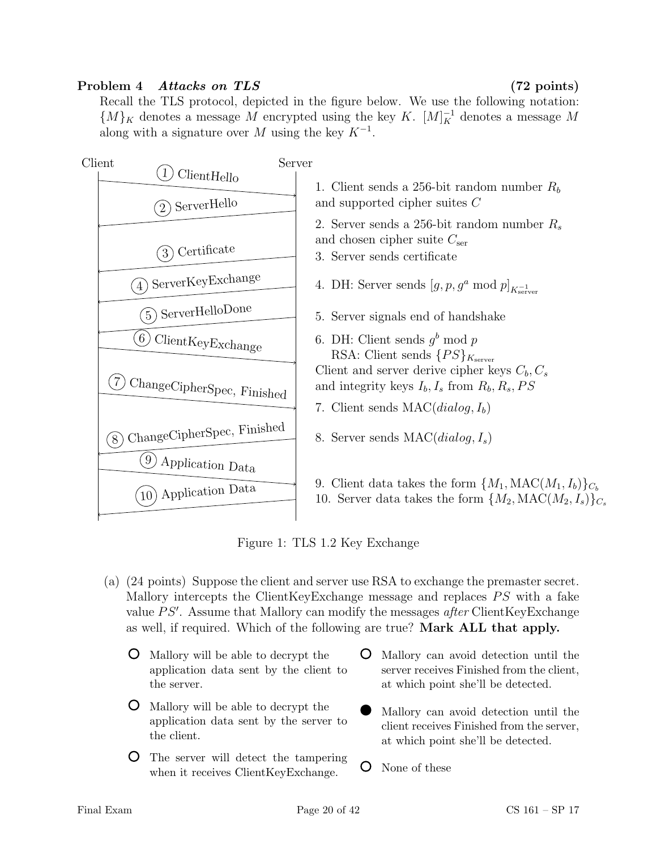### Problem 4 Attacks on TLS (72 points)

Recall the TLS protocol, depicted in the figure below. We use the following notation:  ${M}_K$  denotes a message M encrypted using the key K.  $[M]_K^{-1}$  denotes a message M along with a signature over M using the key  $K^{-1}$ .



Figure 1: TLS 1.2 Key Exchange

- (a) (24 points) Suppose the client and server use RSA to exchange the premaster secret. Mallory intercepts the ClientKeyExchange message and replaces  $PS$  with a fake value  $PS'$ . Assume that Mallory can modify the messages after ClientKeyExchange as well, if required. Which of the following are true? Mark ALL that apply.
	- Mallory will be able to decrypt the application data sent by the client to the server.
	- Mallory will be able to decrypt the application data sent by the server to the client.
	- The server will detect the tampering when it receives ClientKeyExchange.
- $\circ$ Mallory can avoid detection until the server receives Finished from the client, at which point she'll be detected.
- Mallory can avoid detection until the client receives Finished from the server, at which point she'll be detected.
- O None of these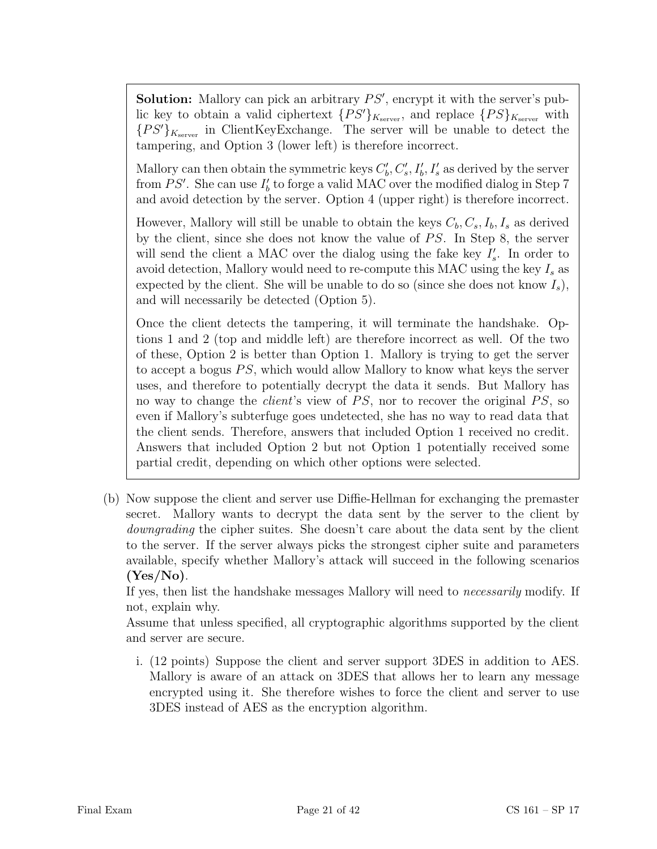**Solution:** Mallory can pick an arbitrary  $PS'$ , encrypt it with the server's public key to obtain a valid ciphertext  $\{PS'\}_{K_{\text{server}}}$ , and replace  $\{PS\}_{K_{\text{server}}}$  with  ${P S'}_{K_{\text{server}}}$  in ClientKeyExchange. The server will be unable to detect the tampering, and Option 3 (lower left) is therefore incorrect.

Mallory can then obtain the symmetric keys  $C'_{b}$ ,  $C'_{s}$ ,  $I'_{b}$ ,  $I'_{s}$  as derived by the server from  $PS'$ . She can use  $I'_{b}$  to forge a valid MAC over the modified dialog in Step 7 and avoid detection by the server. Option 4 (upper right) is therefore incorrect.

However, Mallory will still be unable to obtain the keys  $C_b, C_s, I_b, I_s$  as derived by the client, since she does not know the value of  $PS$ . In Step 8, the server will send the client a MAC over the dialog using the fake key  $I'_s$ . In order to avoid detection, Mallory would need to re-compute this MAC using the key  $I_s$  as expected by the client. She will be unable to do so (since she does not know  $I_s$ ), and will necessarily be detected (Option 5).

Once the client detects the tampering, it will terminate the handshake. Options 1 and 2 (top and middle left) are therefore incorrect as well. Of the two of these, Option 2 is better than Option 1. Mallory is trying to get the server to accept a bogus  $PS$ , which would allow Mallory to know what keys the server uses, and therefore to potentially decrypt the data it sends. But Mallory has no way to change the *client's* view of  $PS$ , nor to recover the original  $PS$ , so even if Mallory's subterfuge goes undetected, she has no way to read data that the client sends. Therefore, answers that included Option 1 received no credit. Answers that included Option 2 but not Option 1 potentially received some partial credit, depending on which other options were selected.

(b) Now suppose the client and server use Diffie-Hellman for exchanging the premaster secret. Mallory wants to decrypt the data sent by the server to the client by downgrading the cipher suites. She doesn't care about the data sent by the client to the server. If the server always picks the strongest cipher suite and parameters available, specify whether Mallory's attack will succeed in the following scenarios  $(Yes/No)$ .

If yes, then list the handshake messages Mallory will need to necessarily modify. If not, explain why.

Assume that unless specified, all cryptographic algorithms supported by the client and server are secure.

i. (12 points) Suppose the client and server support 3DES in addition to AES. Mallory is aware of an attack on 3DES that allows her to learn any message encrypted using it. She therefore wishes to force the client and server to use 3DES instead of AES as the encryption algorithm.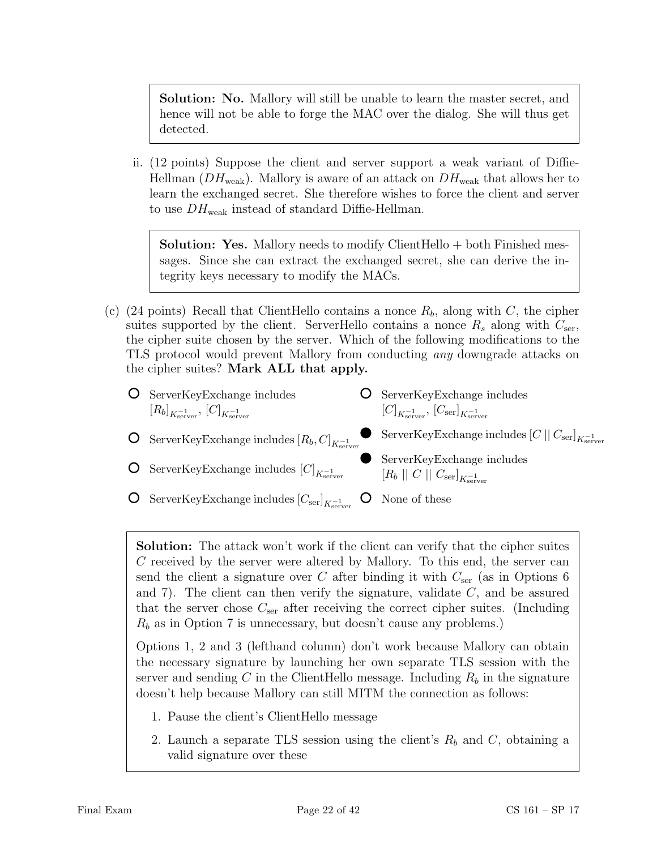Solution: No. Mallory will still be unable to learn the master secret, and hence will not be able to forge the MAC over the dialog. She will thus get detected.

ii. (12 points) Suppose the client and server support a weak variant of Diffie-Hellman ( $DH_{weak}$ ). Mallory is aware of an attack on  $DH_{weak}$  that allows her to learn the exchanged secret. She therefore wishes to force the client and server to use  $DH_{weak}$  instead of standard Diffie-Hellman.

Solution: Yes. Mallory needs to modify ClientHello + both Finished messages. Since she can extract the exchanged secret, she can derive the integrity keys necessary to modify the MACs.

- (c) (24 points) Recall that ClientHello contains a nonce  $R_b$ , along with C, the cipher suites supported by the client. ServerHello contains a nonce  $R_s$  along with  $C_{\text{ser}}$ , the cipher suite chosen by the server. Which of the following modifications to the TLS protocol would prevent Mallory from conducting any downgrade attacks on the cipher suites? Mark ALL that apply.
	- **O** ServerKeyExchange includes  $\left[R_b\right]_{K_{\mathrm{server}}^{-1}}, \, \left[C\right]_{K_{\mathrm{server}}^{-1}}$

 $\circ$ 

ServerKeyExchange includes  $[C]_{K_{\mathrm{server}}}$ 

- **O** ServerKeyExchange includes  $\left[C\right]_{K_{\mathrm{server}}^{-1}}, \, \left[C_{\mathrm{ser}}\right]_{K_{\mathrm{server}}^{-1}}$
- $\mathrm{ServerKeyExchange}$  includes  $[R_b,C]_{K_{\mathrm{server}}}$  ${\rm ServerKeyExchange}$  includes  ${[C\,||\,C_{\rm ser}]}_{K_{\rm server}^{-1}}$ 
	- ServerKeyExchange includes  $\left[R_b \; || \; C \; || \; C_{\rm ser} \right]_{K_{\rm server}^{-1}}$
- $\circ$ None of these  $\mathrm{ServerKeyExchange}\ \mathrm{includes}\ [C_{\mathrm{ser}}]_{K_{\mathrm{server}}}$

Solution: The attack won't work if the client can verify that the cipher suites C received by the server were altered by Mallory. To this end, the server can send the client a signature over C after binding it with  $C_{\text{ser}}$  (as in Options 6 and 7). The client can then verify the signature, validate  $C$ , and be assured that the server chose  $C_{\text{ser}}$  after receiving the correct cipher suites. (Including  $R_b$  as in Option 7 is unnecessary, but doesn't cause any problems.)

Options 1, 2 and 3 (lefthand column) don't work because Mallory can obtain the necessary signature by launching her own separate TLS session with the server and sending C in the ClientHello message. Including  $R_b$  in the signature doesn't help because Mallory can still MITM the connection as follows:

- 1. Pause the client's ClientHello message
- 2. Launch a separate TLS session using the client's  $R_b$  and  $C$ , obtaining a valid signature over these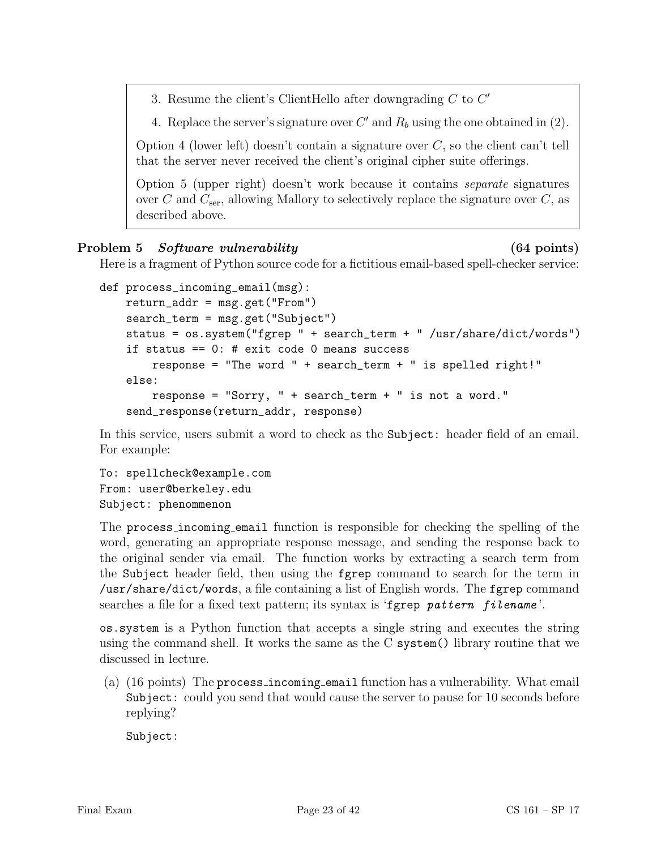3. Resume the client's ClientHello after downgrading  $C$  to  $C'$ 

4. Replace the server's signature over  $C'$  and  $R_b$  using the one obtained in (2).

Option 4 (lower left) doesn't contain a signature over  $C$ , so the client can't tell that the server never received the client's original cipher suite offerings.

Option 5 (upper right) doesn't work because it contains separate signatures over C and  $C_{\text{ser}}$ , allowing Mallory to selectively replace the signature over C, as described above.

#### Problem 5 Software vulnerability (64 points)

Here is a fragment of Python source code for a fictitious email-based spell-checker service:

```
def process_incoming_email(msg):
   return_addr = msg.get("From")search_term = msg.get("Subject")
    status = os.system("fgrep " + search_term + " /usr/share/dict/words")
    if status == 0: # exit code 0 means success
        response = "The word " + search_term + " is spelled right!"
   else:
        response = "Sorry, " + search_term + " is not a word."
    send_response(return_addr, response)
```
In this service, users submit a word to check as the Subject: header field of an email. For example:

To: spellcheck@example.com From: user@berkeley.edu Subject: phenommenon

The process incoming email function is responsible for checking the spelling of the word, generating an appropriate response message, and sending the response back to the original sender via email. The function works by extracting a search term from the Subject header field, then using the fgrep command to search for the term in /usr/share/dict/words, a file containing a list of English words. The fgrep command searches a file for a fixed text pattern; its syntax is 'fgrep pattern filename'.

os.system is a Python function that accepts a single string and executes the string using the command shell. It works the same as the C system() library routine that we discussed in lecture.

(a) (16 points) The process incoming email function has a vulnerability. What email Subject: could you send that would cause the server to pause for 10 seconds before replying?

Subject: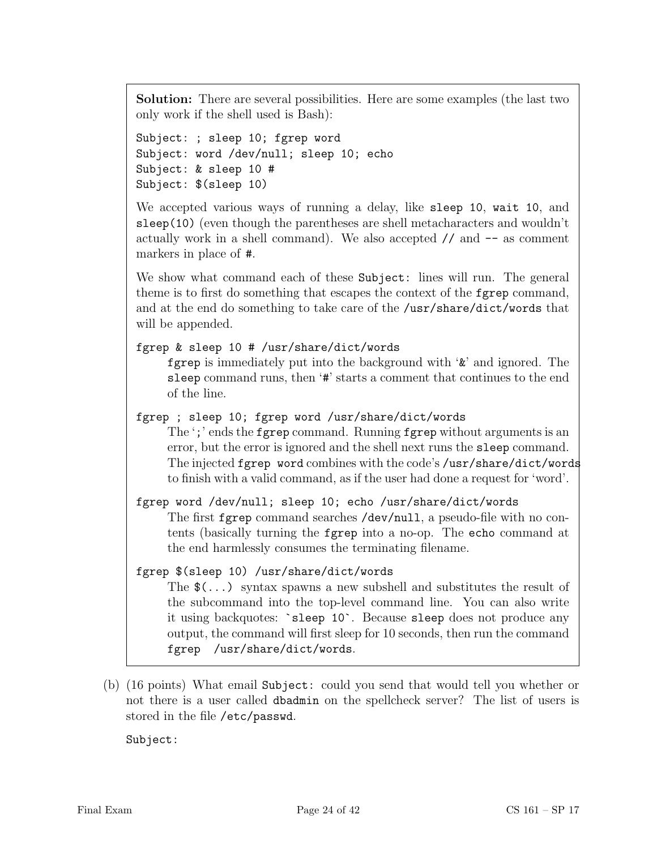Solution: There are several possibilities. Here are some examples (the last two only work if the shell used is Bash):

```
Subject: ; sleep 10; fgrep word
Subject: word /dev/null; sleep 10; echo
Subject: & sleep 10 #
Subject: $(sleep 10)
```
We accepted various ways of running a delay, like sleep 10, wait 10, and sleep(10) (even though the parentheses are shell metacharacters and wouldn't actually work in a shell command). We also accepted  $//$  and  $--$  as comment markers in place of #.

We show what command each of these Subject: lines will run. The general theme is to first do something that escapes the context of the fgrep command, and at the end do something to take care of the /usr/share/dict/words that will be appended.

```
fgrep & sleep 10 # /usr/share/dict/words
```
fgrep is immediately put into the background with '&' and ignored. The sleep command runs, then '#' starts a comment that continues to the end of the line.

fgrep ; sleep 10; fgrep word /usr/share/dict/words

The ';' ends the fgrep command. Running fgrep without arguments is an error, but the error is ignored and the shell next runs the sleep command. The injected fgrep word combines with the code's /usr/share/dict/words to finish with a valid command, as if the user had done a request for 'word'.

fgrep word /dev/null; sleep 10; echo /usr/share/dict/words The first fgrep command searches /dev/null, a pseudo-file with no contents (basically turning the fgrep into a no-op. The echo command at the end harmlessly consumes the terminating filename.

### fgrep \$(sleep 10) /usr/share/dict/words

The  $\mathcal{L}(\ldots)$  syntax spawns a new subshell and substitutes the result of the subcommand into the top-level command line. You can also write it using backquotes: `sleep 10`. Because sleep does not produce any output, the command will first sleep for 10 seconds, then run the command fgrep /usr/share/dict/words.

(b) (16 points) What email Subject: could you send that would tell you whether or not there is a user called dbadmin on the spellcheck server? The list of users is stored in the file /etc/passwd.

Subject: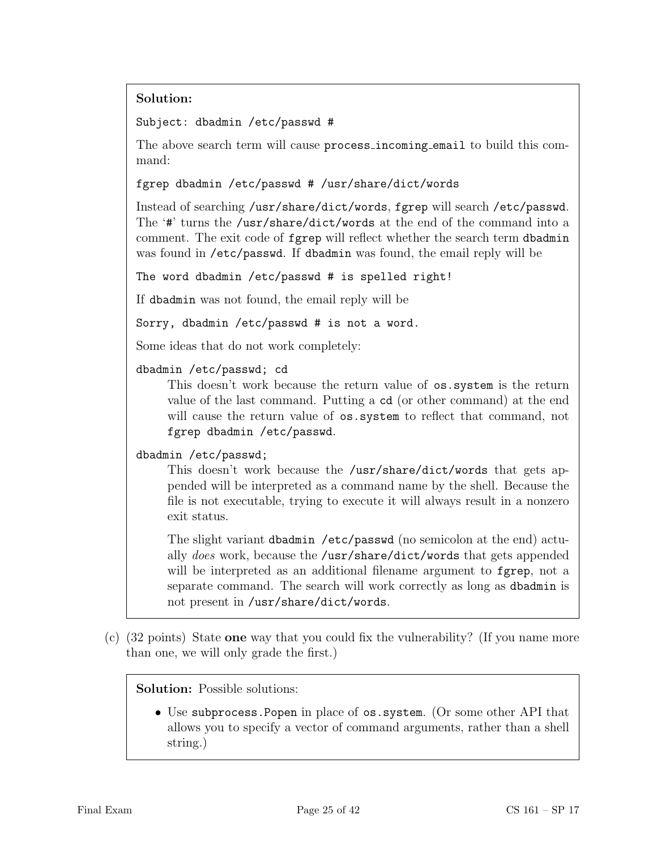# Solution:

Subject: dbadmin /etc/passwd #

The above search term will cause process incoming email to build this command:

fgrep dbadmin /etc/passwd # /usr/share/dict/words

Instead of searching /usr/share/dict/words, fgrep will search /etc/passwd. The '#' turns the /usr/share/dict/words at the end of the command into a comment. The exit code of fgrep will reflect whether the search term dbadmin was found in /etc/passwd. If dbadmin was found, the email reply will be

The word dbadmin /etc/passwd # is spelled right!

If dbadmin was not found, the email reply will be

Sorry, dbadmin /etc/passwd # is not a word.

Some ideas that do not work completely:

dbadmin /etc/passwd; cd

This doesn't work because the return value of os.system is the return value of the last command. Putting a cd (or other command) at the end will cause the return value of  $\circ s$ . system to reflect that command, not fgrep dbadmin /etc/passwd.

dbadmin /etc/passwd;

This doesn't work because the /usr/share/dict/words that gets appended will be interpreted as a command name by the shell. Because the file is not executable, trying to execute it will always result in a nonzero exit status.

The slight variant dbadmin /etc/passwd (no semicolon at the end) actually does work, because the /usr/share/dict/words that gets appended will be interpreted as an additional filename argument to fgrep, not a separate command. The search will work correctly as long as dbadmin is not present in /usr/share/dict/words.

(c) (32 points) State one way that you could fix the vulnerability? (If you name more than one, we will only grade the first.)

Solution: Possible solutions:

• Use subprocess.Popen in place of os.system. (Or some other API that allows you to specify a vector of command arguments, rather than a shell string.)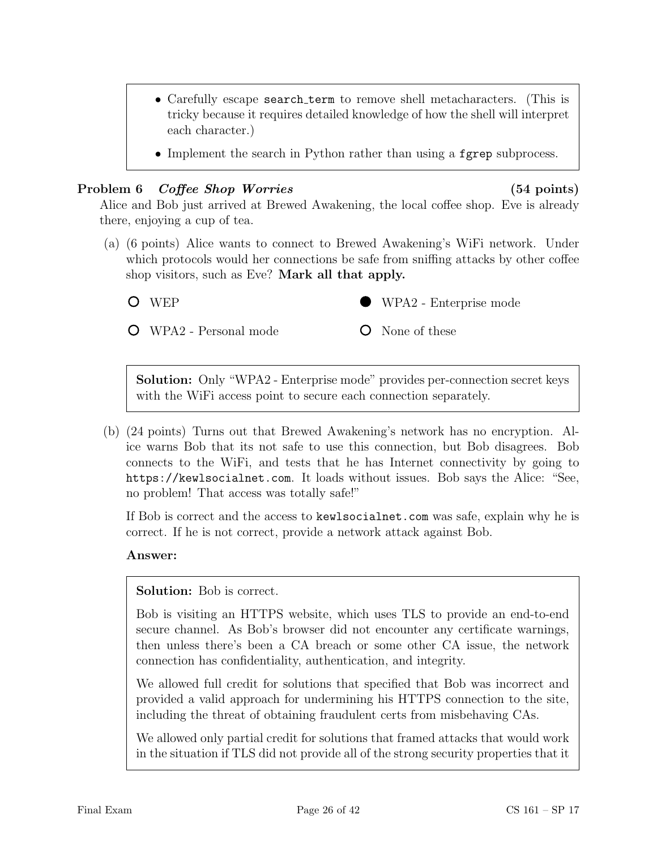- Carefully escape **search\_term** to remove shell metacharacters. (This is tricky because it requires detailed knowledge of how the shell will interpret each character.)
- Implement the search in Python rather than using a fgrep subprocess.

#### Problem 6 Coffee Shop Worries (54 points)

Alice and Bob just arrived at Brewed Awakening, the local coffee shop. Eve is already there, enjoying a cup of tea.

- (a) (6 points) Alice wants to connect to Brewed Awakening's WiFi network. Under which protocols would her connections be safe from sniffing attacks by other coffee shop visitors, such as Eve? Mark all that apply.
	- O WEP

WPA2 - Personal mode



None of these

Solution: Only "WPA2 - Enterprise mode" provides per-connection secret keys with the WiFi access point to secure each connection separately.

(b) (24 points) Turns out that Brewed Awakening's network has no encryption. Alice warns Bob that its not safe to use this connection, but Bob disagrees. Bob connects to the WiFi, and tests that he has Internet connectivity by going to https://kewlsocialnet.com. It loads without issues. Bob says the Alice: "See, no problem! That access was totally safe!"

If Bob is correct and the access to kewlsocialnet.com was safe, explain why he is correct. If he is not correct, provide a network attack against Bob.

#### Answer:

Solution: Bob is correct.

Bob is visiting an HTTPS website, which uses TLS to provide an end-to-end secure channel. As Bob's browser did not encounter any certificate warnings, then unless there's been a CA breach or some other CA issue, the network connection has confidentiality, authentication, and integrity.

We allowed full credit for solutions that specified that Bob was incorrect and provided a valid approach for undermining his HTTPS connection to the site, including the threat of obtaining fraudulent certs from misbehaving CAs.

We allowed only partial credit for solutions that framed attacks that would work in the situation if TLS did not provide all of the strong security properties that it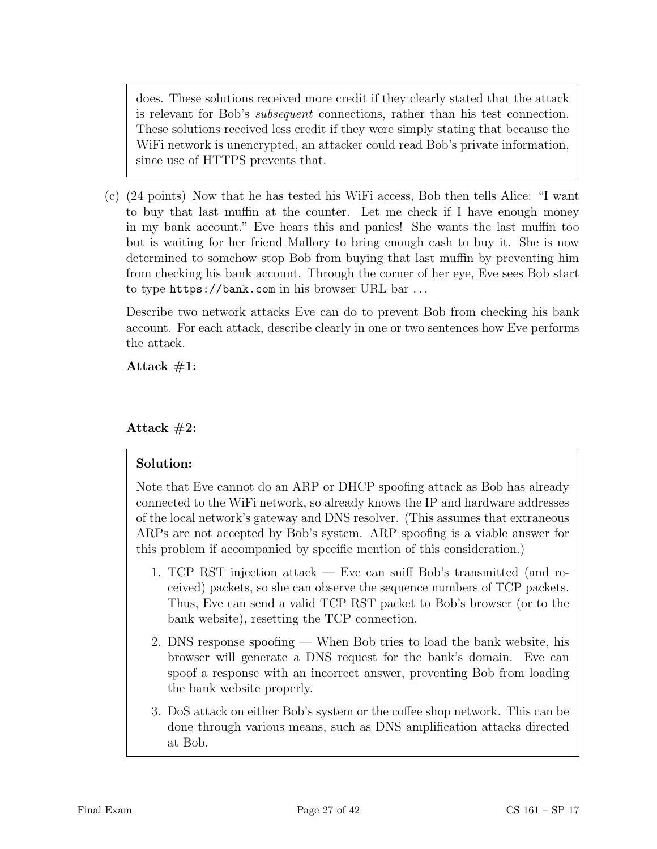does. These solutions received more credit if they clearly stated that the attack is relevant for Bob's subsequent connections, rather than his test connection. These solutions received less credit if they were simply stating that because the WiFi network is unencrypted, an attacker could read Bob's private information, since use of HTTPS prevents that.

(c) (24 points) Now that he has tested his WiFi access, Bob then tells Alice: "I want to buy that last muffin at the counter. Let me check if I have enough money in my bank account." Eve hears this and panics! She wants the last muffin too but is waiting for her friend Mallory to bring enough cash to buy it. She is now determined to somehow stop Bob from buying that last muffin by preventing him from checking his bank account. Through the corner of her eye, Eve sees Bob start to type https://bank.com in his browser URL bar . . .

Describe two network attacks Eve can do to prevent Bob from checking his bank account. For each attack, describe clearly in one or two sentences how Eve performs the attack.

Attack  $#1$ :

### Attack  $#2$ :

### Solution:

Note that Eve cannot do an ARP or DHCP spoofing attack as Bob has already connected to the WiFi network, so already knows the IP and hardware addresses of the local network's gateway and DNS resolver. (This assumes that extraneous ARPs are not accepted by Bob's system. ARP spoofing is a viable answer for this problem if accompanied by specific mention of this consideration.)

- 1. TCP RST injection attack Eve can sniff Bob's transmitted (and received) packets, so she can observe the sequence numbers of TCP packets. Thus, Eve can send a valid TCP RST packet to Bob's browser (or to the bank website), resetting the TCP connection.
- 2. DNS response spoofing When Bob tries to load the bank website, his browser will generate a DNS request for the bank's domain. Eve can spoof a response with an incorrect answer, preventing Bob from loading the bank website properly.
- 3. DoS attack on either Bob's system or the coffee shop network. This can be done through various means, such as DNS amplification attacks directed at Bob.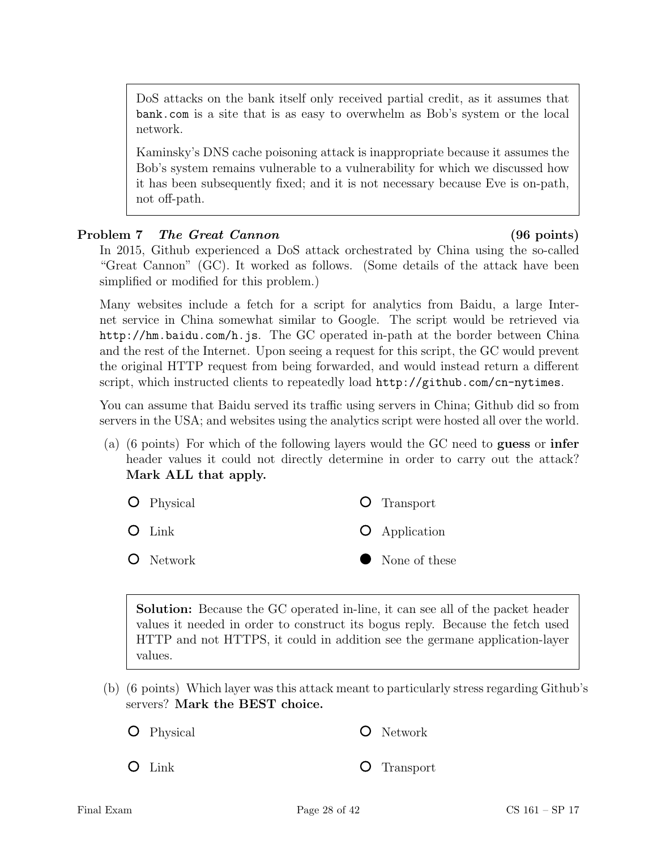DoS attacks on the bank itself only received partial credit, as it assumes that bank.com is a site that is as easy to overwhelm as Bob's system or the local network.

Kaminsky's DNS cache poisoning attack is inappropriate because it assumes the Bob's system remains vulnerable to a vulnerability for which we discussed how it has been subsequently fixed; and it is not necessary because Eve is on-path, not off-path.

### Problem 7 The Great Cannon (96 points)

In 2015, Github experienced a DoS attack orchestrated by China using the so-called "Great Cannon" (GC). It worked as follows. (Some details of the attack have been simplified or modified for this problem.)

Many websites include a fetch for a script for analytics from Baidu, a large Internet service in China somewhat similar to Google. The script would be retrieved via http://hm.baidu.com/h.js. The GC operated in-path at the border between China and the rest of the Internet. Upon seeing a request for this script, the GC would prevent the original HTTP request from being forwarded, and would instead return a different script, which instructed clients to repeatedly load http://github.com/cn-nytimes.

You can assume that Baidu served its traffic using servers in China; Github did so from servers in the USA; and websites using the analytics script were hosted all over the world.

(a) (6 points) For which of the following layers would the GC need to guess or infer header values it could not directly determine in order to carry out the attack? Mark ALL that apply.

| <b>O</b> Physical | <b>O</b> Transport   |
|-------------------|----------------------|
| $O$ Link          | <b>O</b> Application |
| <b>O</b> Network  | • None of these      |

Solution: Because the GC operated in-line, it can see all of the packet header values it needed in order to construct its bogus reply. Because the fetch used HTTP and not HTTPS, it could in addition see the germane application-layer values.

(b) (6 points) Which layer was this attack meant to particularly stress regarding Github's servers? Mark the BEST choice.

Transport

Physical Network

 $O$  Link  $\circ$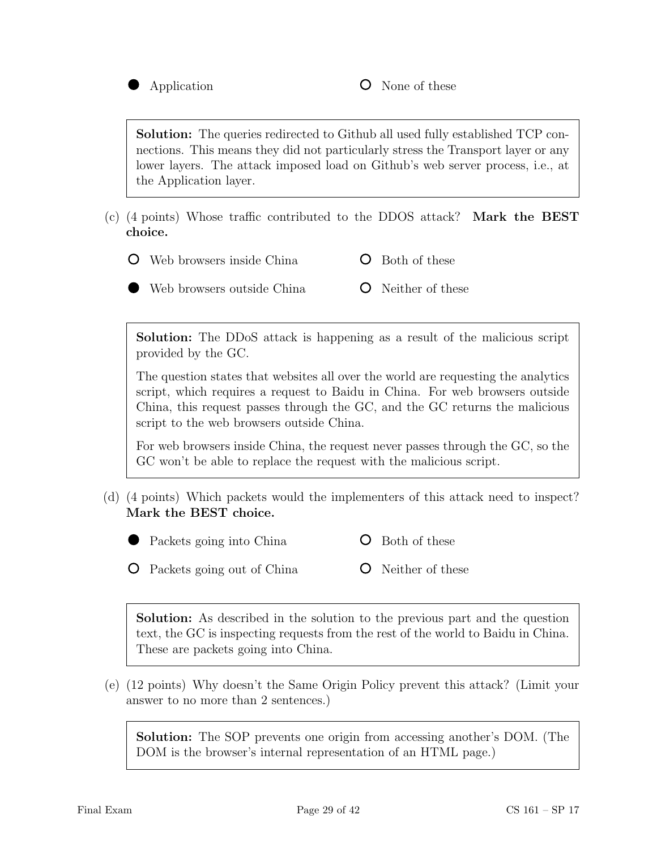

Solution: The queries redirected to Github all used fully established TCP connections. This means they did not particularly stress the Transport layer or any lower layers. The attack imposed load on Github's web server process, i.e., at the Application layer.

(c) (4 points) Whose traffic contributed to the DDOS attack? Mark the BEST choice.

Web browsers inside China Both of these

Web browsers outside China Neither of these

Solution: The DDoS attack is happening as a result of the malicious script provided by the GC.

The question states that websites all over the world are requesting the analytics script, which requires a request to Baidu in China. For web browsers outside China, this request passes through the GC, and the GC returns the malicious script to the web browsers outside China.

For web browsers inside China, the request never passes through the GC, so the GC won't be able to replace the request with the malicious script.

(d) (4 points) Which packets would the implementers of this attack need to inspect? Mark the BEST choice.



Packets going into China **O** Both of these

Packets going out of China

Solution: As described in the solution to the previous part and the question text, the GC is inspecting requests from the rest of the world to Baidu in China. These are packets going into China.

(e) (12 points) Why doesn't the Same Origin Policy prevent this attack? (Limit your answer to no more than 2 sentences.)

Solution: The SOP prevents one origin from accessing another's DOM. (The DOM is the browser's internal representation of an HTML page.)

**O** Neither of these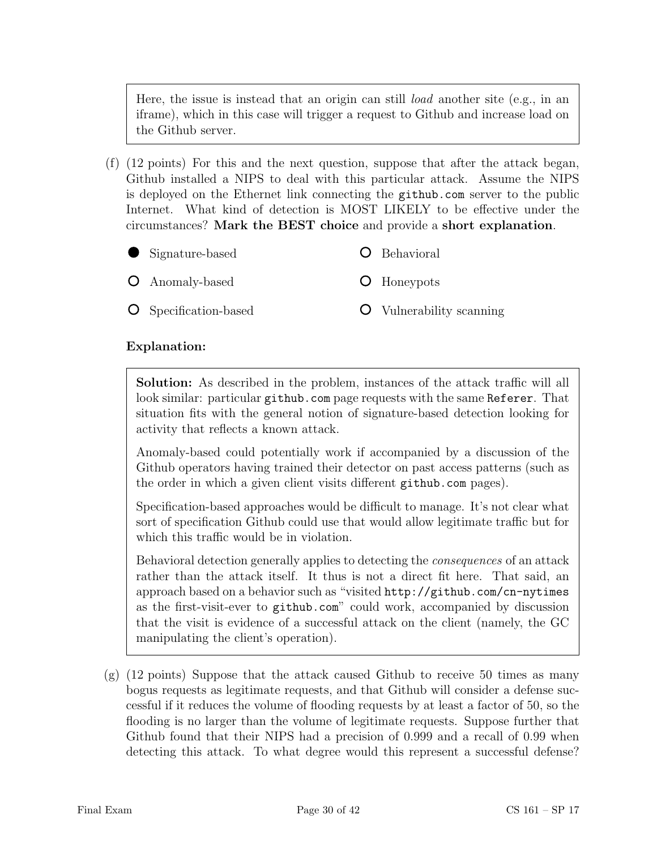Here, the issue is instead that an origin can still *load* another site (e.g., in an iframe), which in this case will trigger a request to Github and increase load on the Github server.

(f) (12 points) For this and the next question, suppose that after the attack began, Github installed a NIPS to deal with this particular attack. Assume the NIPS is deployed on the Ethernet link connecting the github.com server to the public Internet. What kind of detection is MOST LIKELY to be effective under the circumstances? Mark the BEST choice and provide a short explanation.

| $\bullet$ Signature-based    | <b>O</b> Behavioral             |
|------------------------------|---------------------------------|
| <b>O</b> Anomaly-based       | <b>O</b> Honeypots              |
| <b>O</b> Specification-based | <b>O</b> Vulnerability scanning |

#### Explanation:

Solution: As described in the problem, instances of the attack traffic will all look similar: particular github.com page requests with the same Referer. That situation fits with the general notion of signature-based detection looking for activity that reflects a known attack.

Anomaly-based could potentially work if accompanied by a discussion of the Github operators having trained their detector on past access patterns (such as the order in which a given client visits different github.com pages).

Specification-based approaches would be difficult to manage. It's not clear what sort of specification Github could use that would allow legitimate traffic but for which this traffic would be in violation.

Behavioral detection generally applies to detecting the consequences of an attack rather than the attack itself. It thus is not a direct fit here. That said, an approach based on a behavior such as "visited http://github.com/cn-nytimes as the first-visit-ever to github.com" could work, accompanied by discussion that the visit is evidence of a successful attack on the client (namely, the GC manipulating the client's operation).

(g) (12 points) Suppose that the attack caused Github to receive 50 times as many bogus requests as legitimate requests, and that Github will consider a defense successful if it reduces the volume of flooding requests by at least a factor of 50, so the flooding is no larger than the volume of legitimate requests. Suppose further that Github found that their NIPS had a precision of 0.999 and a recall of 0.99 when detecting this attack. To what degree would this represent a successful defense?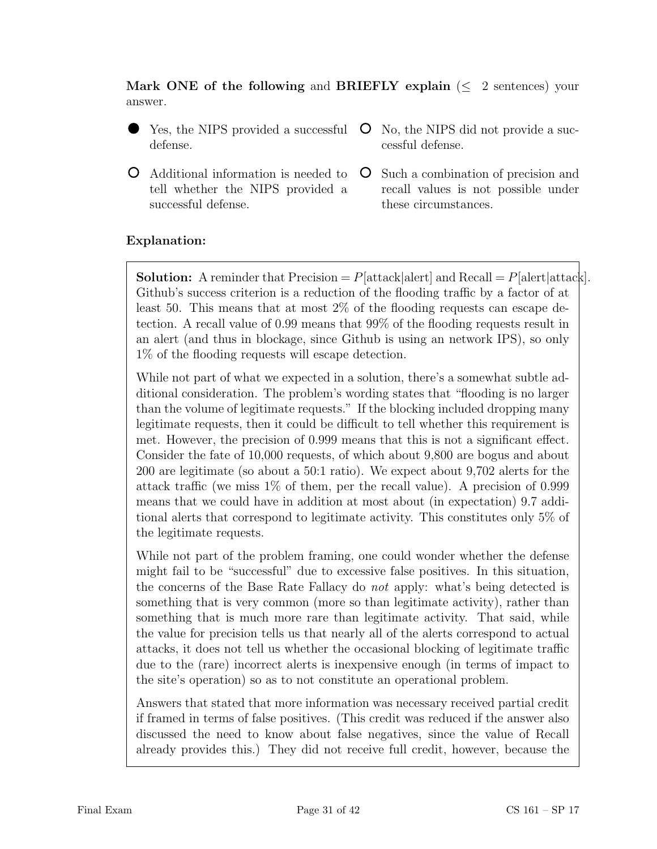Mark ONE of the following and BRIEFLY explain  $(\leq 2 \text{ sentences})$  your answer.

- Yes, the NIPS provided a successful defense.
- Additional information is needed to tell whether the NIPS provided a successful defense.
- No, the NIPS did not provide a successful defense.
- Such a combination of precision and recall values is not possible under these circumstances.

### Explanation:

**Solution:** A reminder that Precision  $= P[\text{attack}]\$  and Recall  $= P[\text{alter}]\text{attack}].$ Github's success criterion is a reduction of the flooding traffic by a factor of at least 50. This means that at most 2% of the flooding requests can escape detection. A recall value of 0.99 means that 99% of the flooding requests result in an alert (and thus in blockage, since Github is using an network IPS), so only 1% of the flooding requests will escape detection.

While not part of what we expected in a solution, there's a somewhat subtle additional consideration. The problem's wording states that "flooding is no larger than the volume of legitimate requests." If the blocking included dropping many legitimate requests, then it could be difficult to tell whether this requirement is met. However, the precision of 0.999 means that this is not a significant effect. Consider the fate of 10,000 requests, of which about 9,800 are bogus and about 200 are legitimate (so about a 50:1 ratio). We expect about 9,702 alerts for the attack traffic (we miss 1% of them, per the recall value). A precision of 0.999 means that we could have in addition at most about (in expectation) 9.7 additional alerts that correspond to legitimate activity. This constitutes only 5% of the legitimate requests.

While not part of the problem framing, one could wonder whether the defense might fail to be "successful" due to excessive false positives. In this situation, the concerns of the Base Rate Fallacy do not apply: what's being detected is something that is very common (more so than legitimate activity), rather than something that is much more rare than legitimate activity. That said, while the value for precision tells us that nearly all of the alerts correspond to actual attacks, it does not tell us whether the occasional blocking of legitimate traffic due to the (rare) incorrect alerts is inexpensive enough (in terms of impact to the site's operation) so as to not constitute an operational problem.

Answers that stated that more information was necessary received partial credit if framed in terms of false positives. (This credit was reduced if the answer also discussed the need to know about false negatives, since the value of Recall already provides this.) They did not receive full credit, however, because the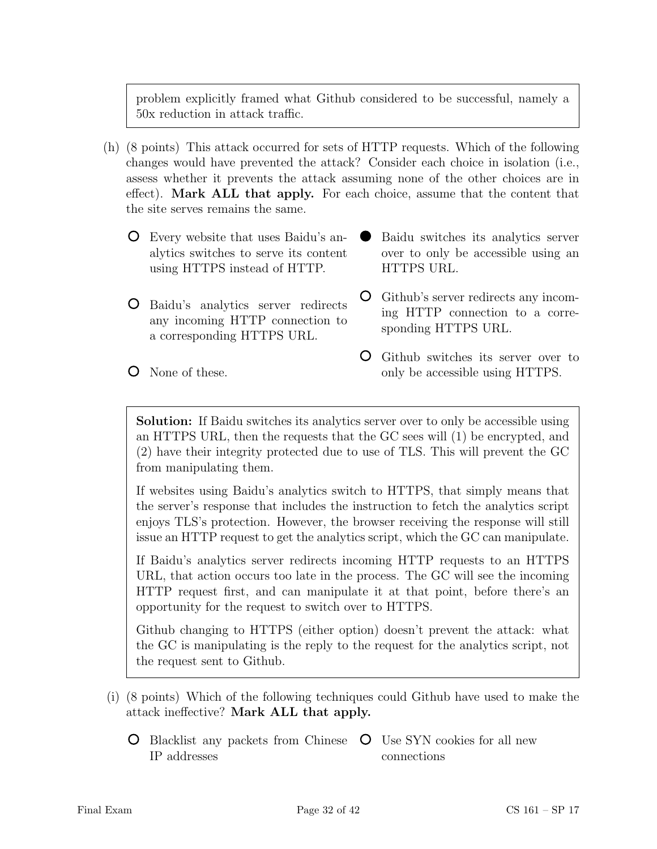problem explicitly framed what Github considered to be successful, namely a 50x reduction in attack traffic.

- (h) (8 points) This attack occurred for sets of HTTP requests. Which of the following changes would have prevented the attack? Consider each choice in isolation (i.e., assess whether it prevents the attack assuming none of the other choices are in effect). Mark ALL that apply. For each choice, assume that the content that the site serves remains the same.
	- Every website that uses Baidu's analytics switches to serve its content using HTTPS instead of HTTP.
	- Baidu's analytics server redirects any incoming HTTP connection to a corresponding HTTPS URL.
- Baidu switches its analytics server over to only be accessible using an HTTPS URL.
- Github's server redirects any incoming HTTP connection to a corresponding HTTPS URL.
- Github switches its server over to only be accessible using HTTPS.

Solution: If Baidu switches its analytics server over to only be accessible using an HTTPS URL, then the requests that the GC sees will (1) be encrypted, and (2) have their integrity protected due to use of TLS. This will prevent the GC from manipulating them.

If websites using Baidu's analytics switch to HTTPS, that simply means that the server's response that includes the instruction to fetch the analytics script enjoys TLS's protection. However, the browser receiving the response will still issue an HTTP request to get the analytics script, which the GC can manipulate.

If Baidu's analytics server redirects incoming HTTP requests to an HTTPS URL, that action occurs too late in the process. The GC will see the incoming HTTP request first, and can manipulate it at that point, before there's an opportunity for the request to switch over to HTTPS.

Github changing to HTTPS (either option) doesn't prevent the attack: what the GC is manipulating is the reply to the request for the analytics script, not the request sent to Github.

- (i) (8 points) Which of the following techniques could Github have used to make the attack ineffective? Mark ALL that apply.
	- Blacklist any packets from Chinese  $\circ$  Use SYN cookies for all new IP addresses connections

**O** None of these.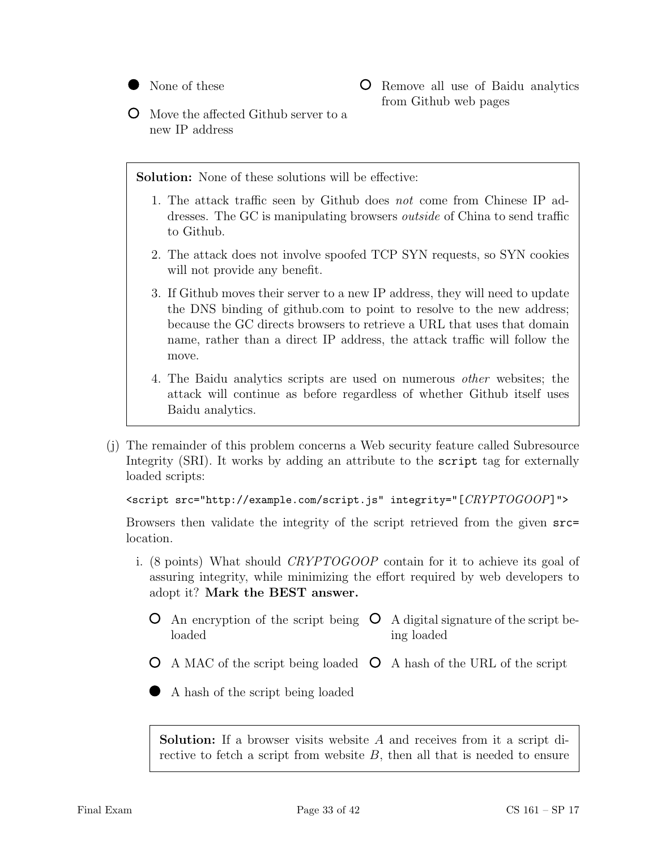

Remove all use of Baidu analytics from Github web pages

Move the affected Github server to a new IP address

Solution: None of these solutions will be effective:

- 1. The attack traffic seen by Github does not come from Chinese IP addresses. The GC is manipulating browsers outside of China to send traffic to Github.
- 2. The attack does not involve spoofed TCP SYN requests, so SYN cookies will not provide any benefit.
- 3. If Github moves their server to a new IP address, they will need to update the DNS binding of github.com to point to resolve to the new address; because the GC directs browsers to retrieve a URL that uses that domain name, rather than a direct IP address, the attack traffic will follow the move.
- 4. The Baidu analytics scripts are used on numerous other websites; the attack will continue as before regardless of whether Github itself uses Baidu analytics.
- (j) The remainder of this problem concerns a Web security feature called Subresource Integrity (SRI). It works by adding an attribute to the script tag for externally loaded scripts:

```
<script src="http://example.com/script.js" integrity="[CRYPTOGOOP]">
```
Browsers then validate the integrity of the script retrieved from the given src= location.

- i. (8 points) What should CRYPTOGOOP contain for it to achieve its goal of assuring integrity, while minimizing the effort required by web developers to adopt it? Mark the BEST answer.
	- An encryption of the script being  $\circ$  A digital signature of the script beloaded ing loaded
	- A MAC of the script being loaded  $\circ$  A hash of the URL of the script
	- A hash of the script being loaded

Solution: If a browser visits website A and receives from it a script directive to fetch a script from website  $B$ , then all that is needed to ensure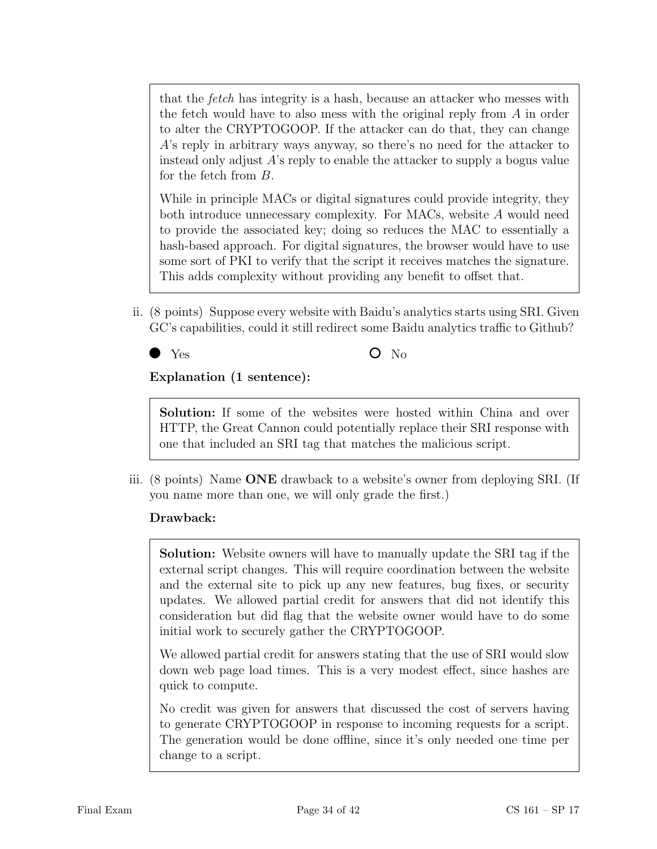that the *fetch* has integrity is a hash, because an attacker who messes with the fetch would have to also mess with the original reply from A in order to alter the CRYPTOGOOP. If the attacker can do that, they can change A's reply in arbitrary ways anyway, so there's no need for the attacker to instead only adjust A's reply to enable the attacker to supply a bogus value for the fetch from B.

While in principle MACs or digital signatures could provide integrity, they both introduce unnecessary complexity. For MACs, website A would need to provide the associated key; doing so reduces the MAC to essentially a hash-based approach. For digital signatures, the browser would have to use some sort of PKI to verify that the script it receives matches the signature. This adds complexity without providing any benefit to offset that.

ii. (8 points) Suppose every website with Baidu's analytics starts using SRI. Given GC's capabilities, could it still redirect some Baidu analytics traffic to Github?



Explanation (1 sentence):

Solution: If some of the websites were hosted within China and over HTTP, the Great Cannon could potentially replace their SRI response with one that included an SRI tag that matches the malicious script.

iii. (8 points) Name ONE drawback to a website's owner from deploying SRI. (If you name more than one, we will only grade the first.)

### Drawback:

Solution: Website owners will have to manually update the SRI tag if the external script changes. This will require coordination between the website and the external site to pick up any new features, bug fixes, or security updates. We allowed partial credit for answers that did not identify this consideration but did flag that the website owner would have to do some initial work to securely gather the CRYPTOGOOP.

We allowed partial credit for answers stating that the use of SRI would slow down web page load times. This is a very modest effect, since hashes are quick to compute.

No credit was given for answers that discussed the cost of servers having to generate CRYPTOGOOP in response to incoming requests for a script. The generation would be done offline, since it's only needed one time per change to a script.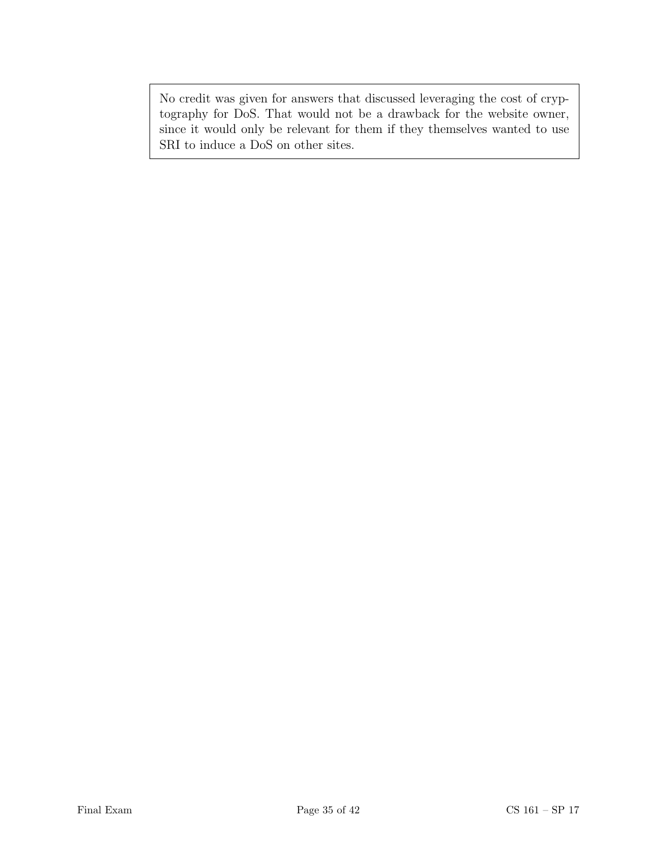No credit was given for answers that discussed leveraging the cost of cryptography for DoS. That would not be a drawback for the website owner, since it would only be relevant for them if they themselves wanted to use SRI to induce a DoS on other sites.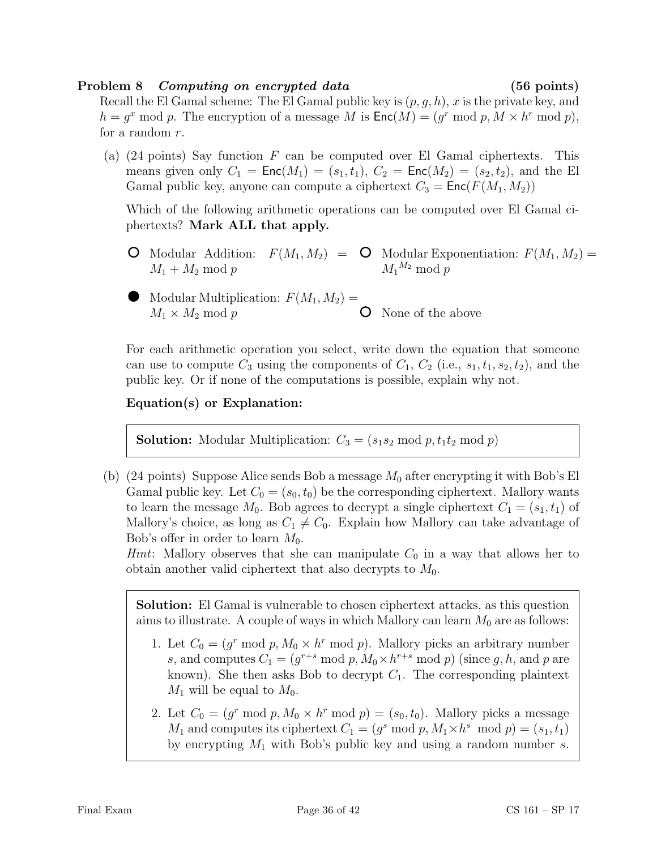#### Problem 8 Computing on encrypted data (56 points)

Recall the El Gamal scheme: The El Gamal public key is  $(p, g, h)$ , x is the private key, and  $h = g^x \mod p$ . The encryption of a message M is  $\mathsf{Enc}(M) = (g^r \mod p, M \times h^r \mod p)$ , for a random r.

(a) (24 points) Say function  $F$  can be computed over El Gamal ciphertexts. This means given only  $C_1 = \text{Enc}(M_1) = (s_1, t_1), C_2 = \text{Enc}(M_2) = (s_2, t_2),$  and the El Gamal public key, anyone can compute a ciphertext  $C_3 = \text{Enc}(F(M_1, M_2))$ 

Which of the following arithmetic operations can be computed over El Gamal ciphertexts? Mark ALL that apply.

- Modular Addition:  $F(M_1, M_2) = \mathbf{O}$  Modular Exponentiation:  $F(M_1, M_2) =$  $M_1 + M_2 \mod p$  $M_1{}^{M_2} \bmod p$
- $\bullet$  Modular Multiplication:  $F(M_1, M_2) =$  $M_1 \times M_2 \text{ mod } p$ None of the above

For each arithmetic operation you select, write down the equation that someone can use to compute  $C_3$  using the components of  $C_1$ ,  $C_2$  (i.e.,  $s_1, t_1, s_2, t_2$ ), and the public key. Or if none of the computations is possible, explain why not.

### Equation(s) or Explanation:

**Solution:** Modular Multiplication:  $C_3 = (s_1 s_2 \mod p, t_1 t_2 \mod p)$ 

(b) (24 points) Suppose Alice sends Bob a message  $M_0$  after encrypting it with Bob's El Gamal public key. Let  $C_0 = (s_0, t_0)$  be the corresponding ciphertext. Mallory wants to learn the message  $M_0$ . Bob agrees to decrypt a single ciphertext  $C_1 = (s_1, t_1)$  of Mallory's choice, as long as  $C_1 \neq C_0$ . Explain how Mallory can take advantage of Bob's offer in order to learn  $M_0$ .

*Hint*: Mallory observes that she can manipulate  $C_0$  in a way that allows her to obtain another valid ciphertext that also decrypts to  $M_0$ .

Solution: El Gamal is vulnerable to chosen ciphertext attacks, as this question aims to illustrate. A couple of ways in which Mallory can learn  $M_0$  are as follows:

- 1. Let  $C_0 = (g^r \mod p, M_0 \times h^r \mod p)$ . Mallory picks an arbitrary number s, and computes  $C_1 = (g^{r+s} \mod p, M_0 \times h^{r+s} \mod p)$  (since g, h, and p are known). She then asks Bob to decrypt  $C_1$ . The corresponding plaintext  $M_1$  will be equal to  $M_0$ .
- 2. Let  $C_0 = (g^r \mod p, M_0 \times h^r \mod p) = (s_0, t_0)$ . Mallory picks a message  $M_1$  and computes its ciphertext  $C_1 = (g^s \mod p, M_1 \times h^s \mod p) = (s_1, t_1)$ by encrypting  $M_1$  with Bob's public key and using a random number s.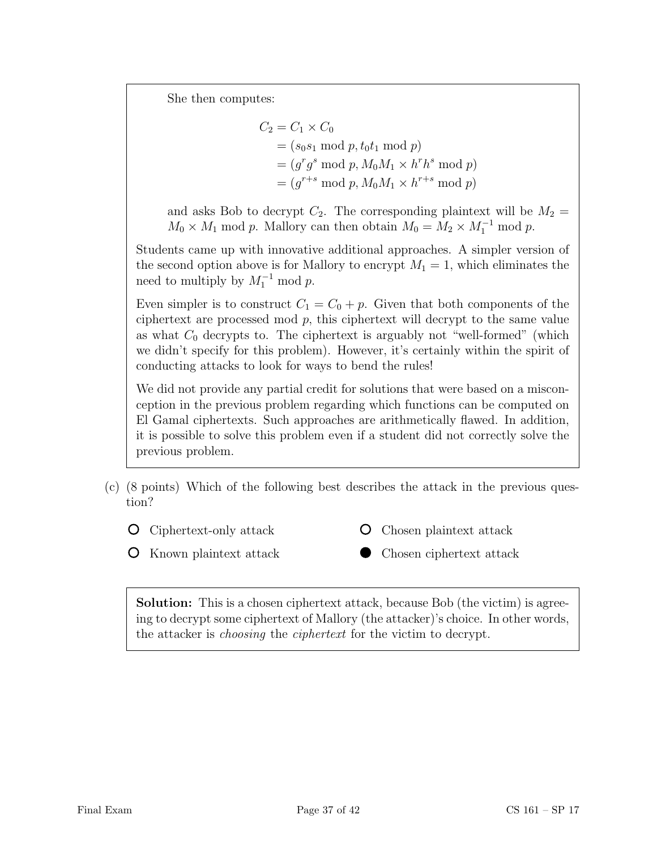She then computes:

$$
C_2 = C_1 \times C_0
$$
  
=  $(s_0s_1 \mod p, t_0t_1 \mod p)$   
=  $(g^rg^s \mod p, M_0M_1 \times h^rh^s \mod p)$   
=  $(g^{r+s} \mod p, M_0M_1 \times h^{r+s} \mod p)$ 

and asks Bob to decrypt  $C_2$ . The corresponding plaintext will be  $M_2 =$  $M_0 \times M_1$  mod p. Mallory can then obtain  $M_0 = M_2 \times M_1^{-1}$  mod p.

Students came up with innovative additional approaches. A simpler version of the second option above is for Mallory to encrypt  $M_1 = 1$ , which eliminates the need to multiply by  $M_1^{-1}$  mod p.

Even simpler is to construct  $C_1 = C_0 + p$ . Given that both components of the ciphertext are processed mod  $p$ , this ciphertext will decrypt to the same value as what  $C_0$  decrypts to. The ciphertext is arguably not "well-formed" (which we didn't specify for this problem). However, it's certainly within the spirit of conducting attacks to look for ways to bend the rules!

We did not provide any partial credit for solutions that were based on a misconception in the previous problem regarding which functions can be computed on El Gamal ciphertexts. Such approaches are arithmetically flawed. In addition, it is possible to solve this problem even if a student did not correctly solve the previous problem.

- (c) (8 points) Which of the following best describes the attack in the previous question?
	- Ciphertext-only attack O
- Chosen plaintext attack O
- **O** Known plaintext attack
- Chosen ciphertext attack

Solution: This is a chosen ciphertext attack, because Bob (the victim) is agreeing to decrypt some ciphertext of Mallory (the attacker)'s choice. In other words, the attacker is choosing the ciphertext for the victim to decrypt.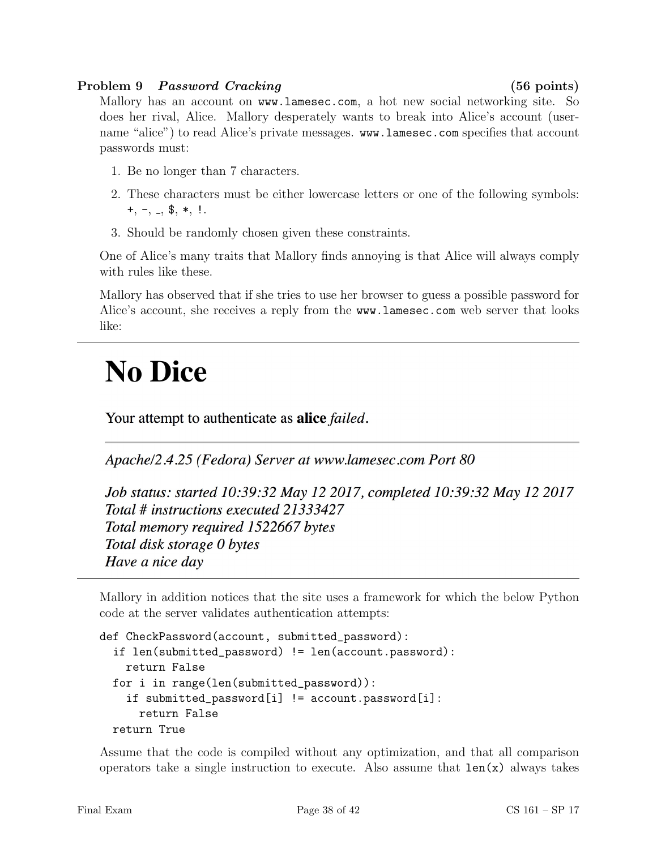#### Problem 9 Password Cracking (56 points)

Mallory has an account on www.lamesec.com, a hot new social networking site. So does her rival, Alice. Mallory desperately wants to break into Alice's account (username "alice") to read Alice's private messages. www.lamesec.com specifies that account passwords must:

- 1. Be no longer than 7 characters.
- 2. These characters must be either lowercase letters or one of the following symbols:  $+, -, -,$  \$,  $*,$ !.
- 3. Should be randomly chosen given these constraints.

One of Alice's many traits that Mallory finds annoying is that Alice will always comply with rules like these.

Mallory has observed that if she tries to use her browser to guess a possible password for Alice's account, she receives a reply from the www.lamesec.com web server that looks like:

# **No Dice**

Your attempt to authenticate as **alice** failed.

Apache/2.4.25 (Fedora) Server at www.lamesec.com Port 80

Job status: started 10:39:32 May 12 2017, completed 10:39:32 May 12 2017 Total # instructions executed 21333427 Total memory required 1522667 bytes Total disk storage 0 bytes Have a nice day

Mallory in addition notices that the site uses a framework for which the below Python code at the server validates authentication attempts:

```
def CheckPassword(account, submitted_password):
 if len(submitted_password) != len(account.password):
    return False
 for i in range(len(submitted_password)):
    if submitted_password[i] != account.password[i]:
     return False
 return True
```
Assume that the code is compiled without any optimization, and that all comparison operators take a single instruction to execute. Also assume that  $len(x)$  always takes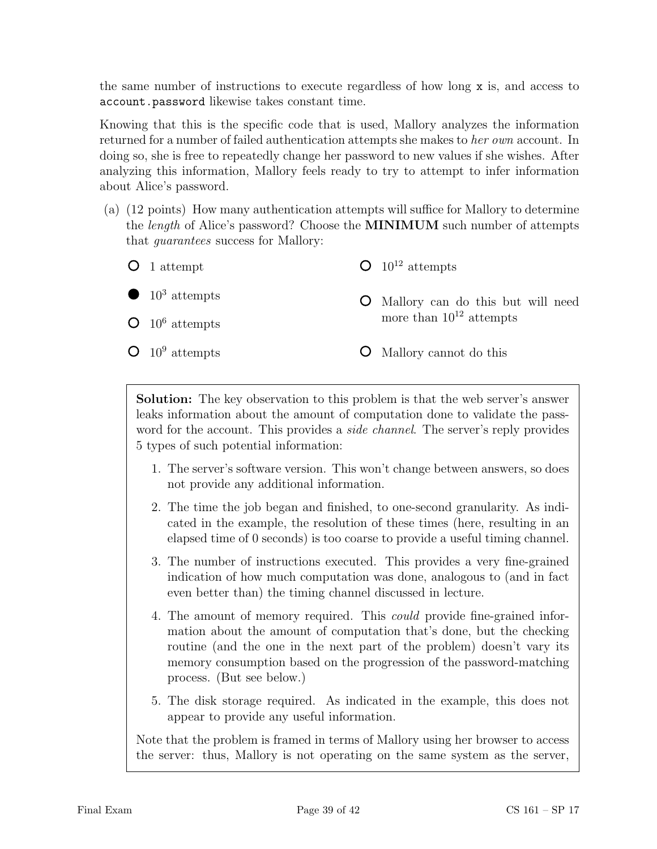the same number of instructions to execute regardless of how long x is, and access to account.password likewise takes constant time.

Knowing that this is the specific code that is used, Mallory analyzes the information returned for a number of failed authentication attempts she makes to her own account. In doing so, she is free to repeatedly change her password to new values if she wishes. After analyzing this information, Mallory feels ready to try to attempt to infer information about Alice's password.

(a) (12 points) How many authentication attempts will suffice for Mallory to determine the length of Alice's password? Choose the MINIMUM such number of attempts that guarantees success for Mallory:



Solution: The key observation to this problem is that the web server's answer leaks information about the amount of computation done to validate the password for the account. This provides a *side channel*. The server's reply provides 5 types of such potential information:

- 1. The server's software version. This won't change between answers, so does not provide any additional information.
- 2. The time the job began and finished, to one-second granularity. As indicated in the example, the resolution of these times (here, resulting in an elapsed time of 0 seconds) is too coarse to provide a useful timing channel.
- 3. The number of instructions executed. This provides a very fine-grained indication of how much computation was done, analogous to (and in fact even better than) the timing channel discussed in lecture.
- 4. The amount of memory required. This could provide fine-grained information about the amount of computation that's done, but the checking routine (and the one in the next part of the problem) doesn't vary its memory consumption based on the progression of the password-matching process. (But see below.)
- 5. The disk storage required. As indicated in the example, this does not appear to provide any useful information.

Note that the problem is framed in terms of Mallory using her browser to access the server: thus, Mallory is not operating on the same system as the server,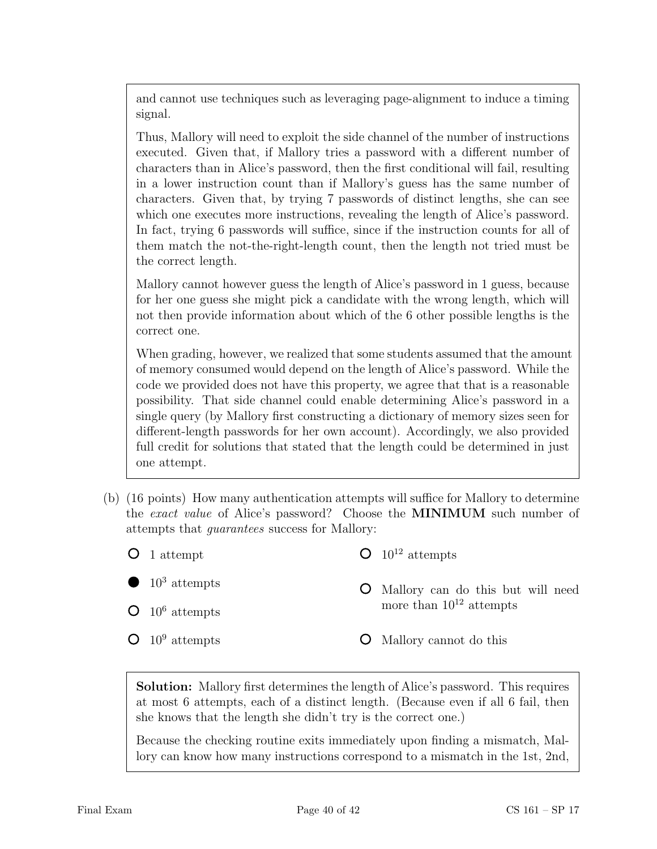and cannot use techniques such as leveraging page-alignment to induce a timing signal.

Thus, Mallory will need to exploit the side channel of the number of instructions executed. Given that, if Mallory tries a password with a different number of characters than in Alice's password, then the first conditional will fail, resulting in a lower instruction count than if Mallory's guess has the same number of characters. Given that, by trying 7 passwords of distinct lengths, she can see which one executes more instructions, revealing the length of Alice's password. In fact, trying 6 passwords will suffice, since if the instruction counts for all of them match the not-the-right-length count, then the length not tried must be the correct length.

Mallory cannot however guess the length of Alice's password in 1 guess, because for her one guess she might pick a candidate with the wrong length, which will not then provide information about which of the 6 other possible lengths is the correct one.

When grading, however, we realized that some students assumed that the amount of memory consumed would depend on the length of Alice's password. While the code we provided does not have this property, we agree that that is a reasonable possibility. That side channel could enable determining Alice's password in a single query (by Mallory first constructing a dictionary of memory sizes seen for different-length passwords for her own account). Accordingly, we also provided full credit for solutions that stated that the length could be determined in just one attempt.

- (b) (16 points) How many authentication attempts will suffice for Mallory to determine the exact value of Alice's password? Choose the MINIMUM such number of attempts that guarantees success for Mallory:
	- **O** 1 attempt  $O$  10<sup>12</sup> attempts
	- $10^3$  attempts

 $O$  10<sup>6</sup> attempts

- - Mallory can do this but will need more than  $10^{12}$  attempts
- $O$  10<sup>9</sup> attempts Mallory cannot do this

Solution: Mallory first determines the length of Alice's password. This requires at most 6 attempts, each of a distinct length. (Because even if all 6 fail, then she knows that the length she didn't try is the correct one.)

Because the checking routine exits immediately upon finding a mismatch, Mallory can know how many instructions correspond to a mismatch in the 1st, 2nd,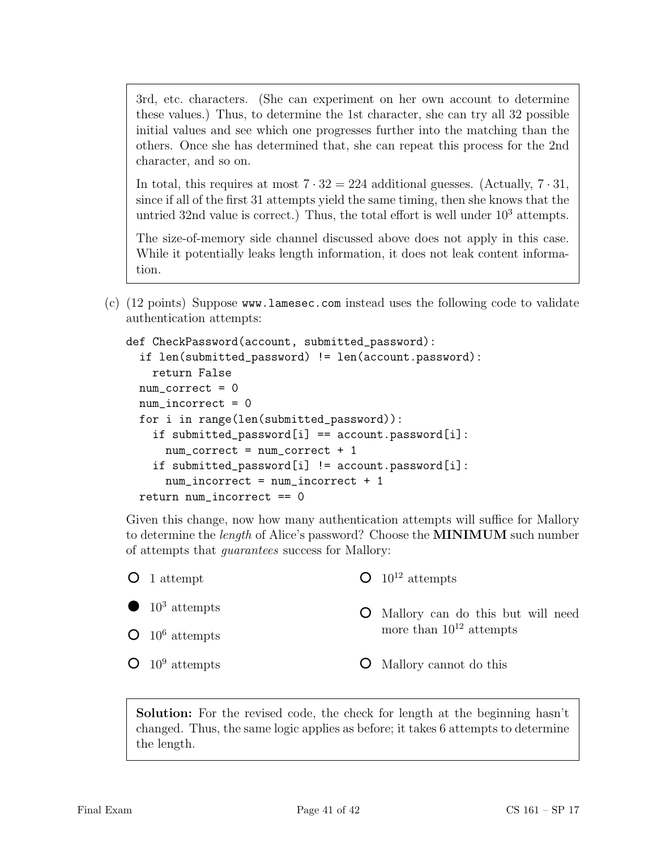3rd, etc. characters. (She can experiment on her own account to determine these values.) Thus, to determine the 1st character, she can try all 32 possible initial values and see which one progresses further into the matching than the others. Once she has determined that, she can repeat this process for the 2nd character, and so on.

In total, this requires at most  $7 \cdot 32 = 224$  additional guesses. (Actually,  $7 \cdot 31$ , since if all of the first 31 attempts yield the same timing, then she knows that the untried 32nd value is correct.) Thus, the total effort is well under  $10^3$  attempts.

The size-of-memory side channel discussed above does not apply in this case. While it potentially leaks length information, it does not leak content information.

(c) (12 points) Suppose www.lamesec.com instead uses the following code to validate authentication attempts:

```
def CheckPassword(account, submitted_password):
  if len(submitted_password) != len(account.password):
   return False
 num_correct = 0
 num_incorrect = 0
 for i in range(len(submitted_password)):
    if submitted_password[i] == account.password[i]:
      num_correct = num_correct + 1
    if submitted_password[i] != account.password[i]:
      num_incorrect = num_incorrect + 1
 return num incorrect == 0
```
Given this change, now how many authentication attempts will suffice for Mallory to determine the length of Alice's password? Choose the MINIMUM such number of attempts that guarantees success for Mallory:

| $O_1$ attempt                      | $\Omega$ 10 <sup>12</sup> attempts         |
|------------------------------------|--------------------------------------------|
| $\bullet$ 10 <sup>3</sup> attempts | <b>O</b> Mallory can do this but will need |
| $\bullet$ 10 <sup>6</sup> attempts | more than $10^{12}$ attempts               |
| $\bullet$ 10 <sup>9</sup> attempts | <b>O</b> Mallory cannot do this            |
|                                    |                                            |

Solution: For the revised code, the check for length at the beginning hasn't changed. Thus, the same logic applies as before; it takes 6 attempts to determine the length.